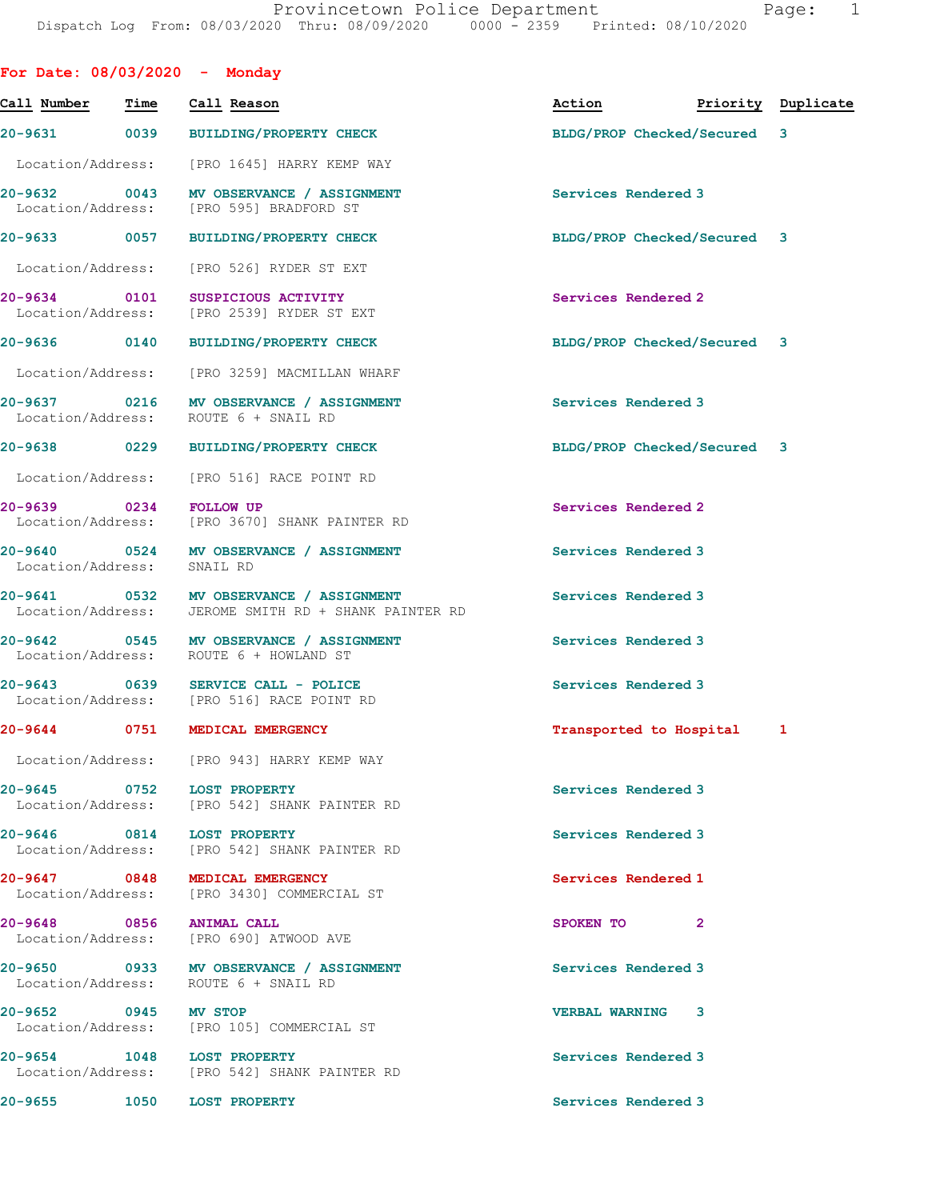| lae |  |  |
|-----|--|--|
|     |  |  |

| For Date: $08/03/2020 -$ Monday      |      |                  |                                                                                   |                             |                    |   |
|--------------------------------------|------|------------------|-----------------------------------------------------------------------------------|-----------------------------|--------------------|---|
| Call Number                          | Time |                  | Call Reason                                                                       | Action                      | Priority Duplicate |   |
| 20-9631 0039                         |      |                  | <b>BUILDING/PROPERTY CHECK</b>                                                    | BLDG/PROP Checked/Secured 3 |                    |   |
|                                      |      |                  | Location/Address: [PRO 1645] HARRY KEMP WAY                                       |                             |                    |   |
| 20-9632 0043<br>Location/Address:    |      |                  | MV OBSERVANCE / ASSIGNMENT<br>[PRO 595] BRADFORD ST                               | Services Rendered 3         |                    |   |
| 20-9633 0057                         |      |                  | <b>BUILDING/PROPERTY CHECK</b>                                                    | BLDG/PROP Checked/Secured 3 |                    |   |
| Location/Address:                    |      |                  | [PRO 526] RYDER ST EXT                                                            |                             |                    |   |
| 20-9634 0101                         |      |                  | SUSPICIOUS ACTIVITY<br>Location/Address: [PRO 2539] RYDER ST EXT                  | Services Rendered 2         |                    |   |
| 20-9636 0140                         |      |                  | <b>BUILDING/PROPERTY CHECK</b>                                                    | BLDG/PROP Checked/Secured 3 |                    |   |
|                                      |      |                  | Location/Address: [PRO 3259] MACMILLAN WHARF                                      |                             |                    |   |
| Location/Address: ROUTE 6 + SNAIL RD |      |                  | 20-9637 0216 MV OBSERVANCE / ASSIGNMENT                                           | Services Rendered 3         |                    |   |
| 20-9638 0229                         |      |                  | <b>BUILDING/PROPERTY CHECK</b>                                                    | BLDG/PROP Checked/Secured 3 |                    |   |
| Location/Address:                    |      |                  | [PRO 516] RACE POINT RD                                                           |                             |                    |   |
| 20-9639                              | 0234 | <b>FOLLOW UP</b> | Location/Address: [PRO 3670] SHANK PAINTER RD                                     | Services Rendered 2         |                    |   |
| Location/Address:                    |      | SNAIL RD         | 20-9640 0524 MV OBSERVANCE / ASSIGNMENT                                           | Services Rendered 3         |                    |   |
| Location/Address:                    |      |                  | 20-9641 0532 MV OBSERVANCE / ASSIGNMENT<br>JEROME SMITH RD + SHANK PAINTER RD     | Services Rendered 3         |                    |   |
|                                      |      |                  | 20-9642 0545 MV OBSERVANCE / ASSIGNMENT<br>Location/Address: ROUTE 6 + HOWLAND ST | Services Rendered 3         |                    |   |
| 20-9643                              |      |                  | 0639 SERVICE CALL - POLICE<br>Location/Address: [PRO 516] RACE POINT RD           | Services Rendered 3         |                    |   |
| 0751<br>$20 - 9644$                  |      |                  | MEDICAL EMERGENCY                                                                 | Transported to Hospital     |                    | 1 |
|                                      |      |                  | Location/Address: [PRO 943] HARRY KEMP WAY                                        |                             |                    |   |
| 20-9645 0752 LOST PROPERTY           |      |                  | Location/Address: [PRO 542] SHANK PAINTER RD                                      | Services Rendered 3         |                    |   |
| 20-9646 0814 LOST PROPERTY           |      |                  | Location/Address: [PRO 542] SHANK PAINTER RD                                      | Services Rendered 3         |                    |   |
| 20-9647 0848 MEDICAL EMERGENCY       |      |                  | Location/Address: [PRO 3430] COMMERCIAL ST                                        | Services Rendered 1         |                    |   |
| 20-9648 0856 ANIMAL CALL             |      |                  | Location/Address: [PRO 690] ATWOOD AVE                                            | SPOKEN TO                   | $\mathbf{2}$       |   |
| Location/Address: ROUTE 6 + SNAIL RD |      |                  | 20-9650 0933 MV OBSERVANCE / ASSIGNMENT                                           | Services Rendered 3         |                    |   |
| 20-9652 0945 MV STOP                 |      |                  | Location/Address: [PRO 105] COMMERCIAL ST                                         | VERBAL WARNING 3            |                    |   |
| 20-9654 1048 LOST PROPERTY           |      |                  | Location/Address: [PRO 542] SHANK PAINTER RD                                      | Services Rendered 3         |                    |   |
| 20-9655 1050 LOST PROPERTY           |      |                  |                                                                                   | Services Rendered 3         |                    |   |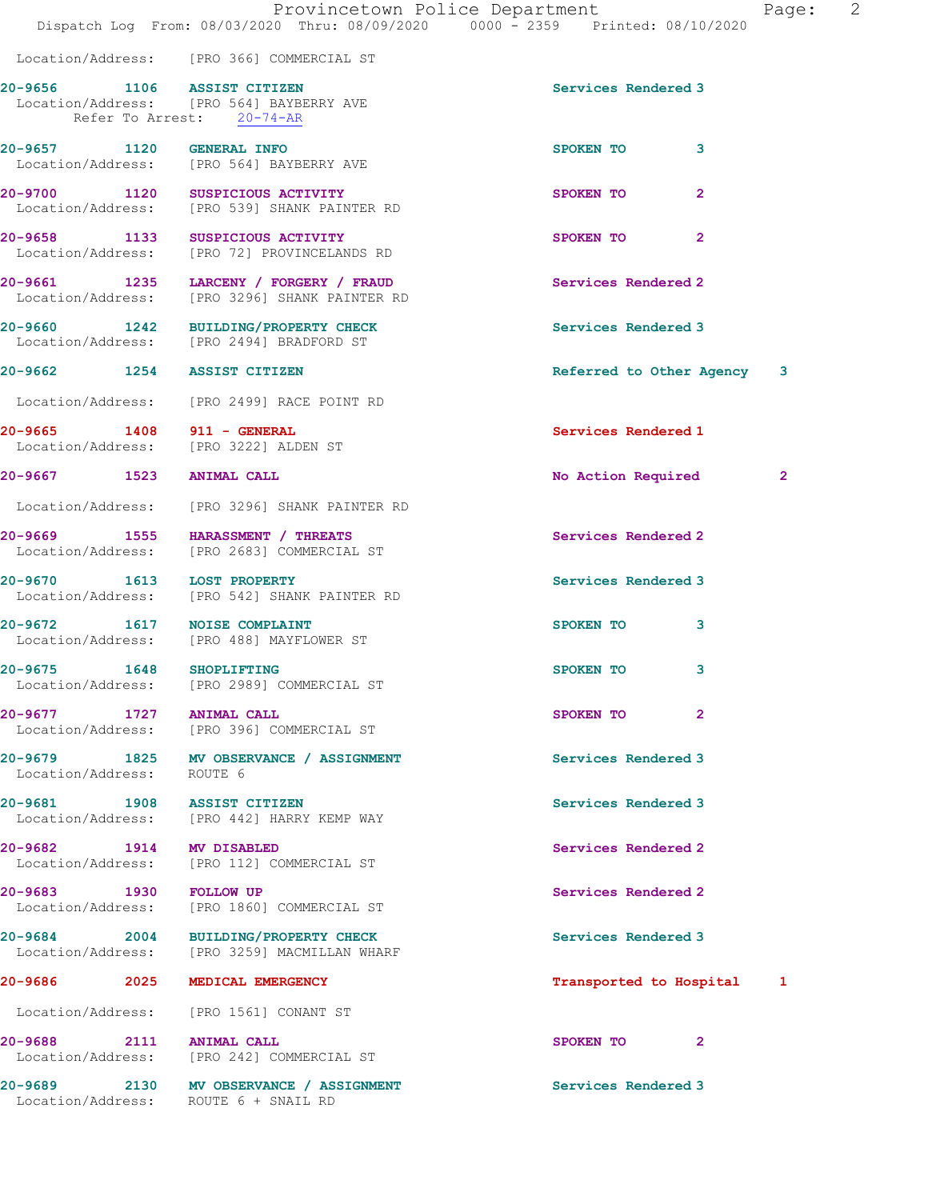Location/Address: [PRO 366] COMMERCIAL ST 20-9656 1106 ASSIST CITIZEN Services Rendered 3 Location/Address: [PRO 564] BAYBERRY AVE Refer To Arrest: 20-74-AR 20-9657 1120 GENERAL INFO SPOKEN TO 3 Location/Address: [PRO 564] BAYBERRY AVE 20-9700 1120 SUSPICIOUS ACTIVITY SPOKEN TO 2 Location/Address: [PRO 539] SHANK PAINTER RD 20-9658 1133 SUSPICIOUS ACTIVITY SPOKEN TO 2 Location/Address: [PRO 72] PROVINCELANDS RD 20-9661 1235 LARCENY / FORGERY / FRAUD Services Rendered 2 Location/Address: [PRO 3296] SHANK PAINTER RD 20-9660 1242 BUILDING/PROPERTY CHECK Services Rendered 3 Location/Address: [PRO 2494] BRADFORD ST 20-9662 1254 ASSIST CITIZEN **Referred to Other Agency** 3 Location/Address: [PRO 2499] RACE POINT RD 20-9665 1408 911 - GENERAL Services Rendered 1 Location/Address: [PRO 3222] ALDEN ST 20-9667 1523 ANIMAL CALL No Action Required 2 Location/Address: [PRO 3296] SHANK PAINTER RD 20-9669 1555 HARASSMENT / THREATS Services Rendered 2 Location/Address: [PRO 2683] COMMERCIAL ST 20-9670 1613 LOST PROPERTY Services Rendered 3 Location/Address: [PRO 542] SHANK PAINTER RD 20-9672 1617 NOISE COMPLAINT SPOKEN TO 3 Location/Address: [PRO 488] MAYFLOWER ST 20-9675 1648 SHOPLIFTING 3 Location/Address: [PRO 2989] COMMERCIAL ST 20-9677 1727 ANIMAL CALL 20-9677 2 Location/Address: [PRO 396] COMMERCIAL ST 20-9679 1825 MV OBSERVANCE / ASSIGNMENT Services Rendered 3 Location/Address: ROUTE 6 20-9681 1908 ASSIST CITIZEN Services Rendered 3 Location/Address: [PRO 442] HARRY KEMP WAY 20-9682 1914 MV DISABLED Services Rendered 2 Location/Address: [PRO 112] COMMERCIAL ST 20-9683 1930 FOLLOW UP Services Rendered 2 Location/Address: [PRO 1860] COMMERCIAL ST 20-9684 2004 BUILDING/PROPERTY CHECK Services Rendered 3 Location/Address: [PRO 3259] MACMILLAN WHARF 20-9686 2025 MEDICAL EMERGENCY Transported to Hospital 1 Location/Address: [PRO 1561] CONANT ST 20-9688 2111 ANIMAL CALL 20-9688 2111 2 Location/Address: [PRO 242] COMMERCIAL ST 20-9689 2130 MV OBSERVANCE / ASSIGNMENT Services Rendered 3 Location/Address: ROUTE 6 + SNAIL RD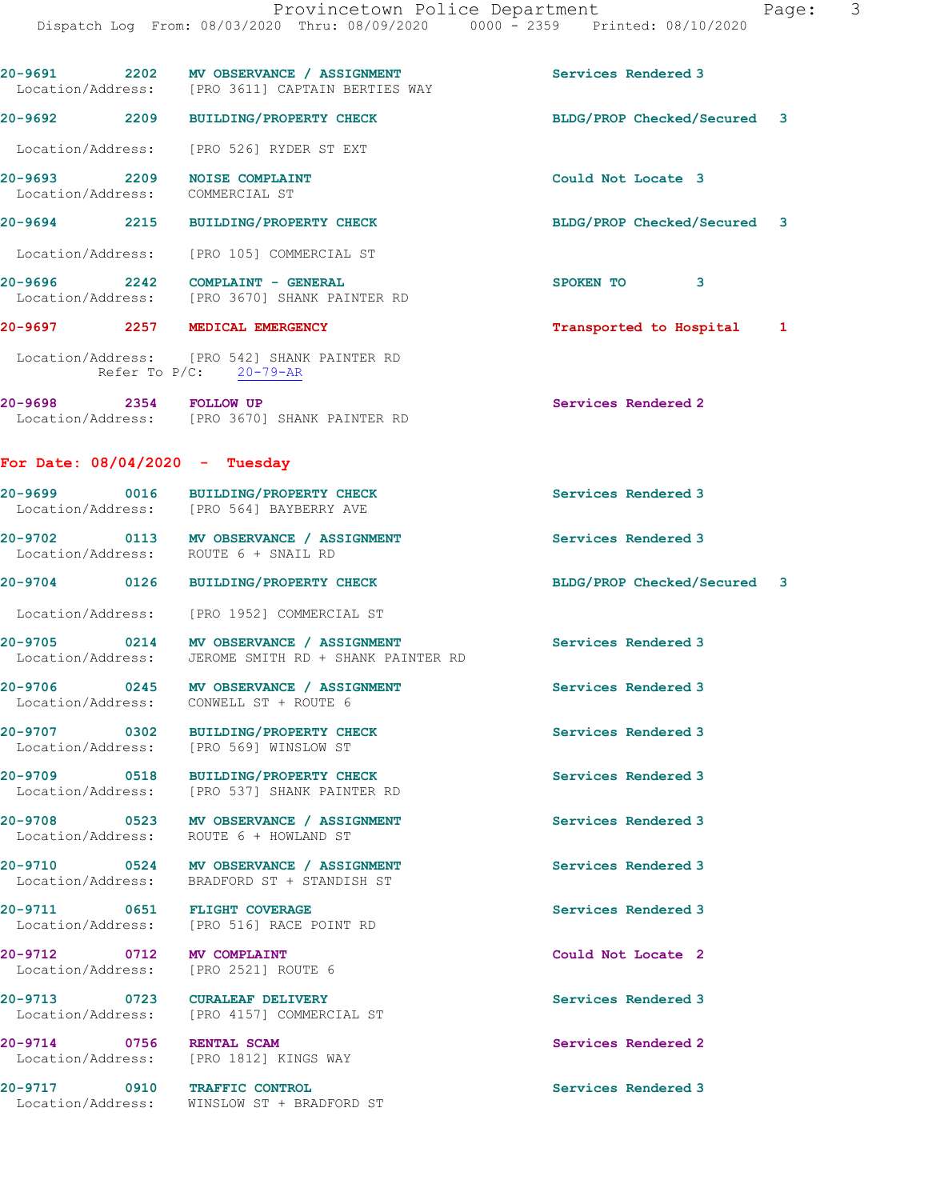|                                   | 20-9691 2202 MV OBSERVANCE / ASSIGNMENT<br>Location/Address: [PRO 3611] CAPTAIN BERTIES WAY     | Services Rendered 3         |  |
|-----------------------------------|-------------------------------------------------------------------------------------------------|-----------------------------|--|
|                                   | 20-9692 2209 BUILDING/PROPERTY CHECK                                                            | BLDG/PROP Checked/Secured 3 |  |
| Location/Address:                 | [PRO 526] RYDER ST EXT                                                                          |                             |  |
| 20-9693 2209<br>Location/Address: | <b>NOISE COMPLAINT</b><br>COMMERCIAL ST                                                         | Could Not Locate 3          |  |
|                                   | 20-9694 2215 BUILDING/PROPERTY CHECK                                                            | BLDG/PROP Checked/Secured 3 |  |
|                                   | Location/Address: [PRO 105] COMMERCIAL ST                                                       |                             |  |
|                                   | 20-9696 2242 COMPLAINT - GENERAL<br>Location/Address: [PRO 3670] SHANK PAINTER RD               | SPOKEN TO 3                 |  |
| 20-9697 2257 MEDICAL EMERGENCY    |                                                                                                 | Transported to Hospital 1   |  |
|                                   | Location/Address: [PRO 542] SHANK PAINTER RD<br>Refer To P/C: 20-79-AR                          |                             |  |
| 20-9698 2354 FOLLOW UP            | Location/Address: [PRO 3670] SHANK PAINTER RD                                                   | Services Rendered 2         |  |
| For Date: $08/04/2020 -$ Tuesday  |                                                                                                 |                             |  |
|                                   | 20-9699 0016 BUILDING/PROPERTY CHECK<br>Location/Address: [PRO 564] BAYBERRY AVE                | Services Rendered 3         |  |
|                                   | 20-9702 0113 MV OBSERVANCE / ASSIGNMENT<br>Location/Address: ROUTE 6 + SNAIL RD                 | Services Rendered 3         |  |
|                                   | 20-9704 0126 BUILDING/PROPERTY CHECK                                                            | BLDG/PROP Checked/Secured 3 |  |
|                                   | Location/Address: [PRO 1952] COMMERCIAL ST                                                      |                             |  |
|                                   | 20-9705 0214 MV OBSERVANCE / ASSIGNMENT<br>Location/Address: JEROME SMITH RD + SHANK PAINTER RD | Services Rendered 3         |  |
|                                   | 20-9706 0245 MV OBSERVANCE / ASSIGNMENT<br>Location/Address: CONWELL ST + ROUTE 6               | Services Rendered 3         |  |
| 20-9707 0302<br>Location/Address: | <b>BUILDING/PROPERTY CHECK</b><br>[PRO 569] WINSLOW ST                                          | Services Rendered 3         |  |
| 20-9709 0518                      | BUILDING/PROPERTY CHECK<br>Location/Address: [PRO 537] SHANK PAINTER RD                         | Services Rendered 3         |  |
| Location/Address:                 | 20-9708 0523 MV OBSERVANCE / ASSIGNMENT<br>ROUTE 6 + HOWLAND ST                                 | Services Rendered 3         |  |
| Location/Address:                 | 20-9710 0524 MV OBSERVANCE / ASSIGNMENT<br>BRADFORD ST + STANDISH ST                            | Services Rendered 3         |  |
| 20-9711 0651 FLIGHT COVERAGE      | Location/Address: [PRO 516] RACE POINT RD                                                       | Services Rendered 3         |  |
| 20-9712 0712<br>Location/Address: | <b>MV COMPLAINT</b><br>[PRO 2521] ROUTE 6                                                       | Could Not Locate 2          |  |
| 20-9713 0723 CURALEAF DELIVERY    | Location/Address: [PRO 4157] COMMERCIAL ST                                                      | Services Rendered 3         |  |
| 20-9714 0756<br>Location/Address: | <b>RENTAL SCAM</b><br>[PRO 1812] KINGS WAY                                                      | Services Rendered 2         |  |
|                                   | 20-9717 0910 TRAFFIC CONTROL                                                                    | Services Rendered 3         |  |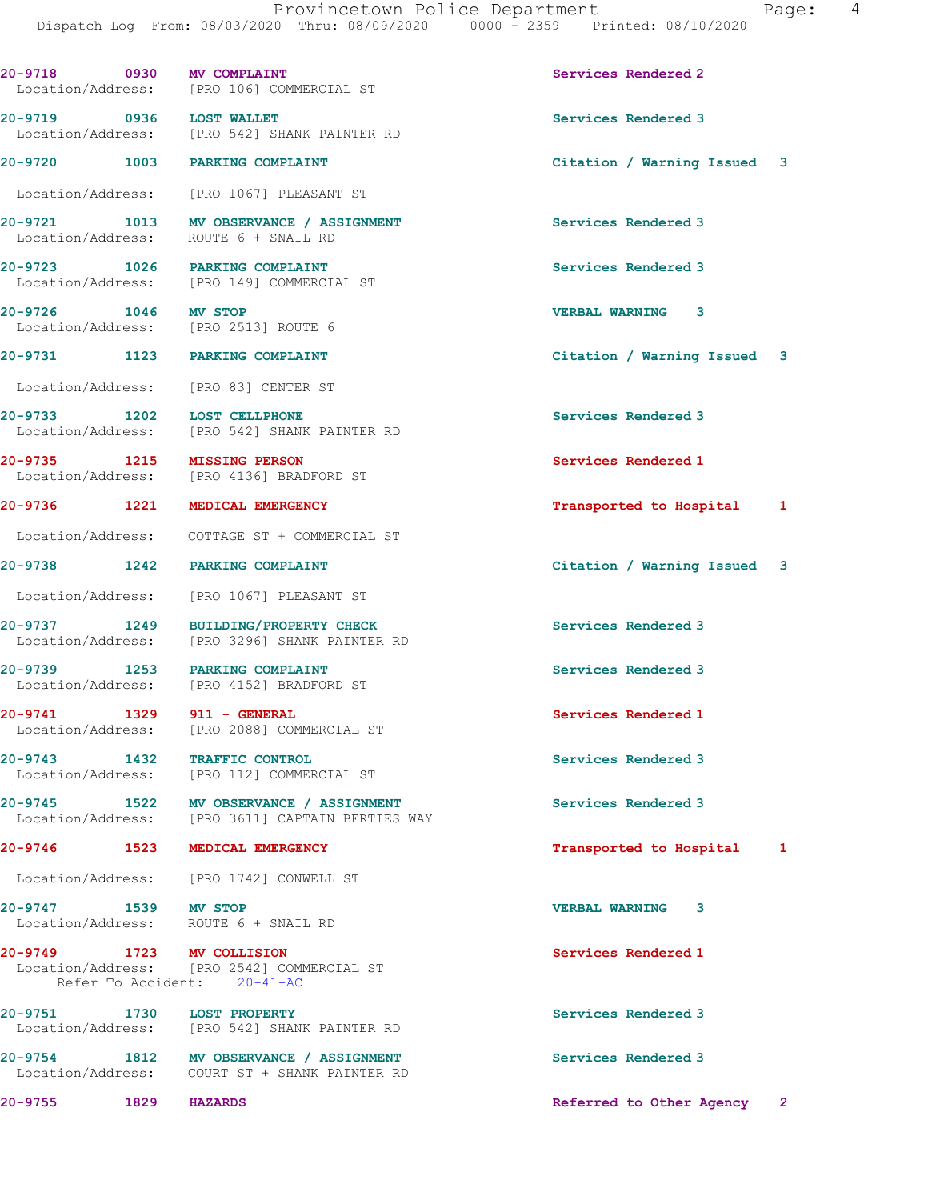20-9718 0930 MV COMPLAINT Services Rendered 2 Location/Address: [PRO 106] COMMERCIAL ST 20-9719 0936 LOST WALLET Services Rendered 3 [PRO 542] SHANK PAINTER RD 20-9720 1003 PARKING COMPLAINT Citation / Warning Issued 3 Location/Address: [PRO 1067] PLEASANT ST 20-9721 1013 MV OBSERVANCE / ASSIGNMENT Services Rendered 3 Location/Address: ROUTE 6 + SNAIL RD 20-9723 1026 PARKING COMPLAINT Services Rendered 3 Location/Address: [PRO 149] COMMERCIAL ST 20-9726 1046 MV STOP VERBAL WARNING 3 Location/Address: [PRO 2513] ROUTE 6 20-9731 1123 PARKING COMPLAINT Citation / Warning Issued 3 Location/Address: [PRO 83] CENTER ST 20-9733 1202 LOST CELLPHONE (20-9733 1202 1202 Services Rendered 3 [PRO 542] SHANK PAINTER RD 20-9735 1215 MISSING PERSON Services Rendered 1 Location/Address: [PRO 4136] BRADFORD ST 20-9736 1221 MEDICAL EMERGENCY **1201 1202** Transported to Hospital 1 Location/Address: COTTAGE ST + COMMERCIAL ST 20-9738 1242 PARKING COMPLAINT Citation / Warning Issued 3 Location/Address: [PRO 1067] PLEASANT ST 20-9737 1249 BUILDING/PROPERTY CHECK Services Rendered 3 Location/Address: [PRO 3296] SHANK PAINTER RD 20-9739 1253 PARKING COMPLAINT Services Rendered 3 Location/Address: [PRO 4152] BRADFORD ST 20-9741 1329 911 - GENERAL Services Rendered 1 Location/Address: [PRO 2088] COMMERCIAL ST 20-9743 1432 TRAFFIC CONTROL Services Rendered 3 Location/Address: [PRO 112] COMMERCIAL ST 20-9745 1522 MV OBSERVANCE / ASSIGNMENT Services Rendered 3 Location/Address: [PRO 3611] CAPTAIN BERTIES WAY 20-9746 1523 MEDICAL EMERGENCY **1200 1200 1200** 12 Transported to Hospital 1 Location/Address: [PRO 1742] CONWELL ST 20-9747 1539 MV STOP VERBAL WARNING 3 Location/Address: ROUTE 6 + SNAIL RD 20-9749 1723 MV COLLISION 20-9749 Services Rendered 1 Location/Address: [PRO 2542] COMMERCIAL ST Refer To Accident: 20-41-AC 20-9751 1730 LOST PROPERTY Services Rendered 3 Location/Address: [PRO 542] SHANK PAINTER RD 20-9754 1812 MV OBSERVANCE / ASSIGNMENT Services Rendered 3 Location/Address: COURT ST + SHANK PAINTER RD 20-9755 1829 HAZARDS Referred to Other Agency 2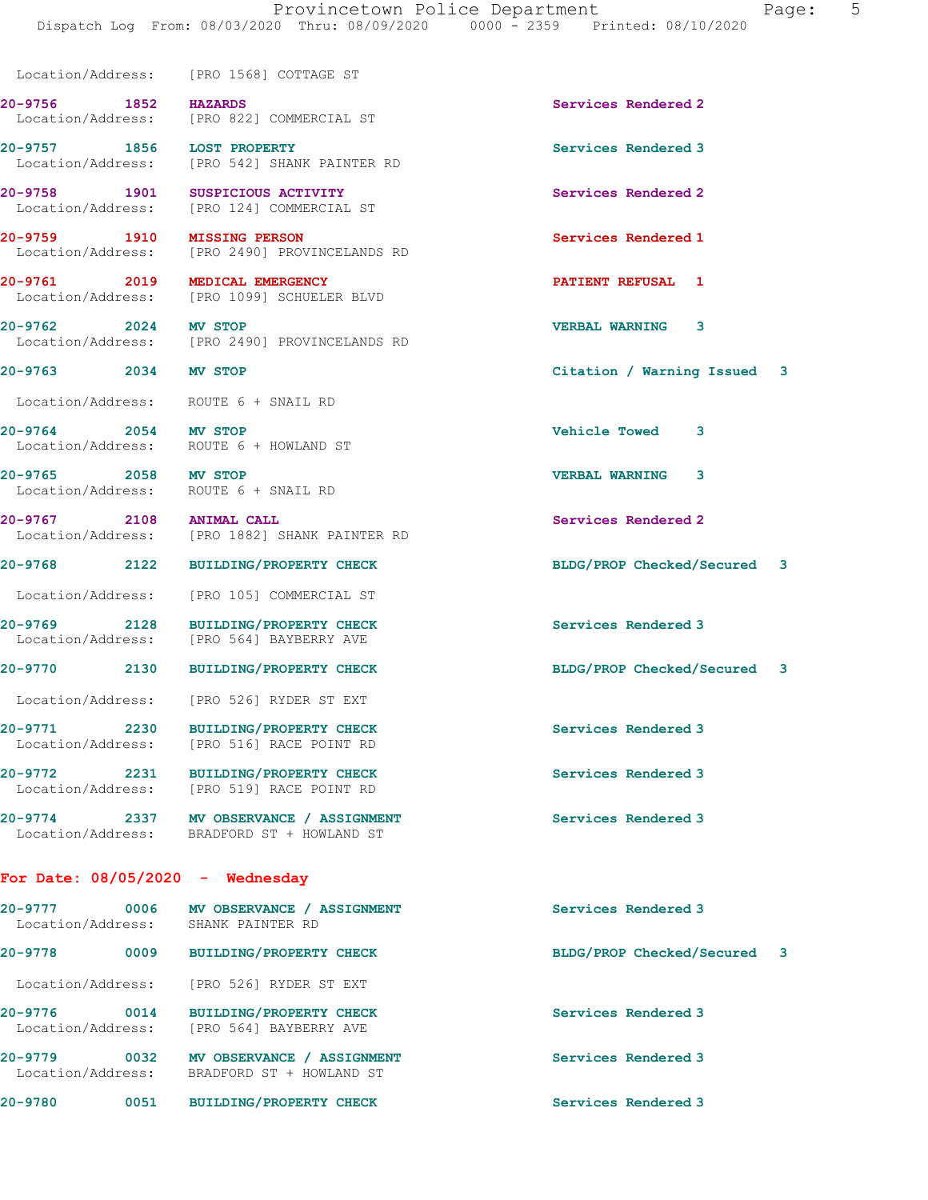Dispatch Log From: 08/03/2020 Thru: 08/09/2020 0000 - 2359 Printed: 08/10/2020

Location/Address: [PRO 1568] COTTAGE ST

20-9756 1852 HAZARDS Services Rendered 2 Location/Address: [PRO 822] COMMERCIAL ST

Location/Address: [PRO 542] SHANK PAINTER RD

Location/Address: [PRO 124] COMMERCIAL ST

20-9761 2019 MEDICAL EMERGENCY **120-9761** PATIENT REFUSAL 1

20-9764 2054 MV STOP Vehicle Towed 3

20-9765 2058 MV STOP VERBAL WARNING 3

For Date: 08/05/2020 - Wednesday

| 20-9777<br>0006<br>Location/Address: | MV OBSERVANCE / ASSIGNMENT<br>SHANK PAINTER RD           | Services Rendered 3         |
|--------------------------------------|----------------------------------------------------------|-----------------------------|
| 20-9778<br>0009                      | <b>BUILDING/PROPERTY CHECK</b>                           | BLDG/PROP Checked/Secured 3 |
| Location/Address:                    | [PRO 526] RYDER ST EXT                                   |                             |
| 20-9776<br>0014<br>Location/Address: | <b>BUILDING/PROPERTY CHECK</b><br>[PRO 564] BAYBERRY AVE | Services Rendered 3         |
| 0032<br>20-9779<br>Location/Address: | MV OBSERVANCE / ASSIGNMENT<br>BRADFORD ST + HOWLAND ST   | Services Rendered 3         |
|                                      |                                                          |                             |

20-9757 1856 LOST PROPERTY Services Rendered 3

20-9758 1901 SUSPICIOUS ACTIVITY Services Rendered 2

20-9759 1910 MISSING PERSON Services Rendered 1

Location/Address: [PRO 2490] PROVINCELANDS RD

Location/Address: [PRO 1099] SCHUELER BLVD

20-9762 2024 MV STOP<br>
Location/Address: [PRO 2490] PROVINCELANDS RD<br>
VERBAL WARNING 3 [PRO 2490] PROVINCELANDS RD

Location/Address: ROUTE 6 + SNAIL RD

Location/Address: ROUTE 6 + HOWLAND ST

Location/Address: ROUTE 6 + SNAIL RD

20-9767 2108 ANIMAL CALL 20 20 20 Services Rendered 2 Location/Address: [PRO 1882] SHANK PAINTER RD

Location/Address: [PRO 105] COMMERCIAL ST

20-9769 2128 BUILDING/PROPERTY CHECK Services Rendered 3<br>
Location/Address: [PRO 564] BAYBERRY AVE [PRO 564] BAYBERRY AVE

Location/Address: [PRO 526] RYDER ST EXT

20-9771 2230 BUILDING/PROPERTY CHECK Services Rendered 3 Location/Address: [PRO 516] RACE POINT RD

20-9772 2231 BUILDING/PROPERTY CHECK Services Rendered 3 Location/Address: [PRO 519] RACE POINT RD

20-9774 2337 MV OBSERVANCE / ASSIGNMENT Services Rendered 3 Location/Address: BRADFORD ST + HOWLAND ST

20-9763 2034 MV STOP Citation / Warning Issued 3

20-9768 2122 BUILDING/PROPERTY CHECK BLDG/PROP Checked/Secured 3

20-9770 2130 BUILDING/PROPERTY CHECK BLDG/PROP Checked/Secured 3

20-9780 0051 BUILDING/PROPERTY CHECK Services Rendered 3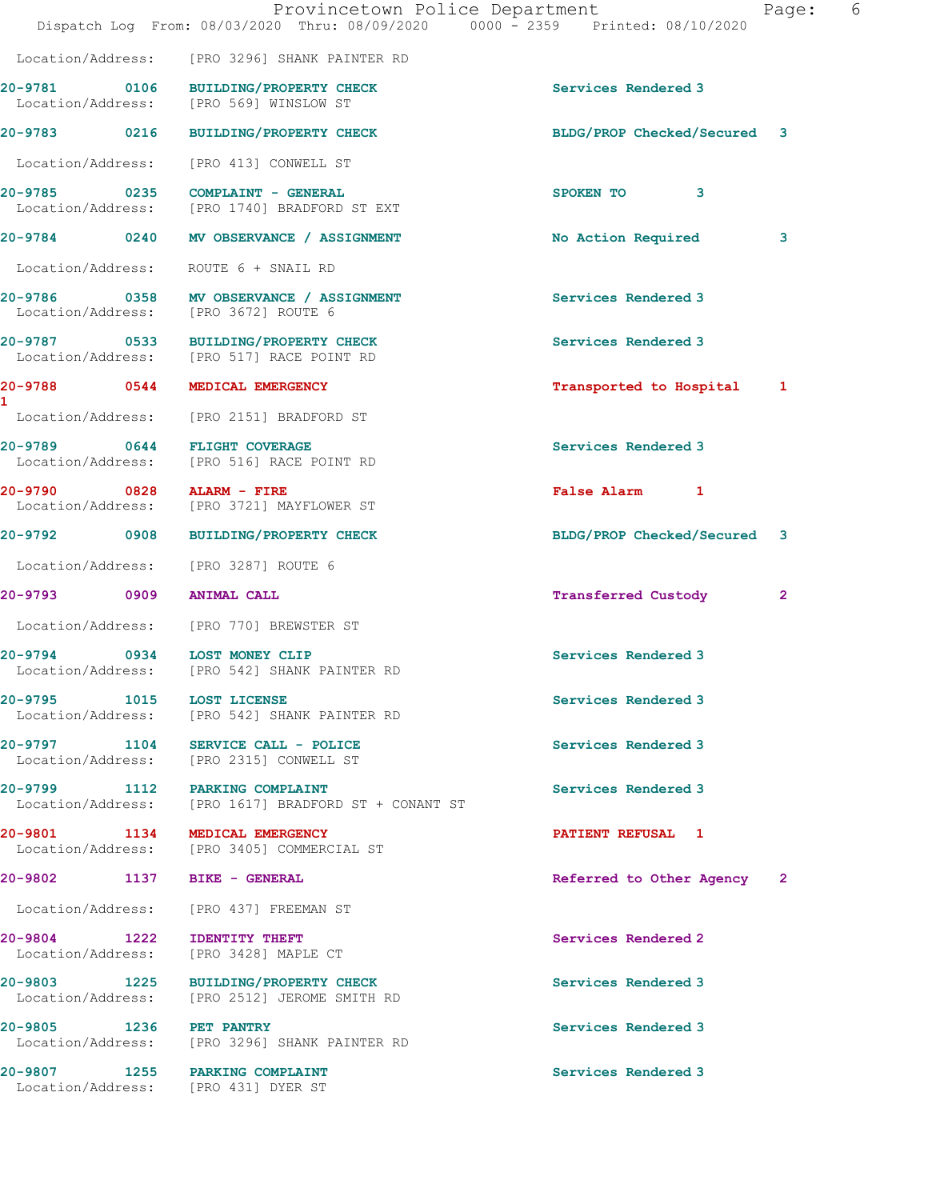|                                                                                   | Dispatch Log From: 08/03/2020 Thru: 08/09/2020 0000 - 2359 Printed: 08/10/2020 | Provincetown Police Department |                             | 6<br>Page:   |  |
|-----------------------------------------------------------------------------------|--------------------------------------------------------------------------------|--------------------------------|-----------------------------|--------------|--|
|                                                                                   | Location/Address: [PRO 3296] SHANK PAINTER RD                                  |                                |                             |              |  |
| 20-9781 0106 BUILDING/PROPERTY CHECK<br>Location/Address: [PRO 569] WINSLOW ST    |                                                                                |                                | Services Rendered 3         |              |  |
| 20-9783 0216 BUILDING/PROPERTY CHECK                                              |                                                                                |                                | BLDG/PROP Checked/Secured 3 |              |  |
| Location/Address: [PRO 413] CONWELL ST                                            |                                                                                |                                |                             |              |  |
| 20-9785 0235 COMPLAINT - GENERAL                                                  | Location/Address: [PRO 1740] BRADFORD ST EXT                                   |                                | SPOKEN TO 3                 |              |  |
|                                                                                   | 20-9784 0240 MV OBSERVANCE / ASSIGNMENT                                        |                                | No Action Required          | 3            |  |
| Location/Address: ROUTE 6 + SNAIL RD                                              |                                                                                |                                |                             |              |  |
| Location/Address: [PRO 3672] ROUTE 6                                              | 20-9786 0358 MV OBSERVANCE / ASSIGNMENT                                        |                                | Services Rendered 3         |              |  |
| 20-9787 0533 BUILDING/PROPERTY CHECK<br>Location/Address: [PRO 517] RACE POINT RD |                                                                                |                                | Services Rendered 3         |              |  |
| 20-9788 0544 MEDICAL EMERGENCY                                                    |                                                                                |                                | Transported to Hospital 1   |              |  |
| Location/Address: [PRO 2151] BRADFORD ST                                          |                                                                                |                                |                             |              |  |
| 20-9789 0644 FLIGHT COVERAGE<br>Location/Address: [PRO 516] RACE POINT RD         |                                                                                |                                | Services Rendered 3         |              |  |
| 20-9790 0828 ALARM - FIRE<br>Location/Address: [PRO 3721] MAYFLOWER ST            |                                                                                |                                | False Alarm 1               |              |  |
| 20-9792 0908 BUILDING/PROPERTY CHECK                                              |                                                                                |                                | BLDG/PROP Checked/Secured 3 |              |  |
| Location/Address: [PRO 3287] ROUTE 6                                              |                                                                                |                                |                             |              |  |
| 20-9793 0909 ANIMAL CALL                                                          |                                                                                |                                | <b>Transferred Custody</b>  | $\mathbf{2}$ |  |
| Location/Address: [PRO 770] BREWSTER ST                                           |                                                                                |                                |                             |              |  |
| 20-9794 0934 LOST MONEY CLIP                                                      | Location/Address: [PRO 542] SHANK PAINTER RD                                   |                                | Services Rendered 3         |              |  |
| 20-9795 1015 LOST LICENSE                                                         | Location/Address: [PRO 542] SHANK PAINTER RD                                   |                                | Services Rendered 3         |              |  |
| 20-9797 1104 SERVICE CALL - POLICE<br>Location/Address: [PRO 2315] CONWELL ST     |                                                                                |                                | Services Rendered 3         |              |  |
| 20-9799 1112 PARKING COMPLAINT                                                    | Location/Address: [PRO 1617] BRADFORD ST + CONANT ST                           |                                | Services Rendered 3         |              |  |
| 20-9801 1134 MEDICAL EMERGENCY                                                    | Location/Address: [PRO 3405] COMMERCIAL ST                                     |                                | <b>PATIENT REFUSAL 1</b>    |              |  |
| 20-9802 1137 BIKE - GENERAL                                                       |                                                                                |                                | Referred to Other Agency 2  |              |  |
| Location/Address: [PRO 437] FREEMAN ST                                            |                                                                                |                                |                             |              |  |
| 20-9804 1222 IDENTITY THEFT<br>Location/Address: [PRO 3428] MAPLE CT              |                                                                                |                                | Services Rendered 2         |              |  |
| 20-9803 1225 BUILDING/PROPERTY CHECK<br>Location/Address:                         | [PRO 2512] JEROME SMITH RD                                                     |                                | Services Rendered 3         |              |  |
| 20-9805 1236 PET PANTRY                                                           | Location/Address: [PRO 3296] SHANK PAINTER RD                                  |                                | Services Rendered 3         |              |  |
| 20-9807 1255 PARKING COMPLAINT                                                    |                                                                                |                                | Services Rendered 3         |              |  |

Location/Address: [PRO 431] DYER ST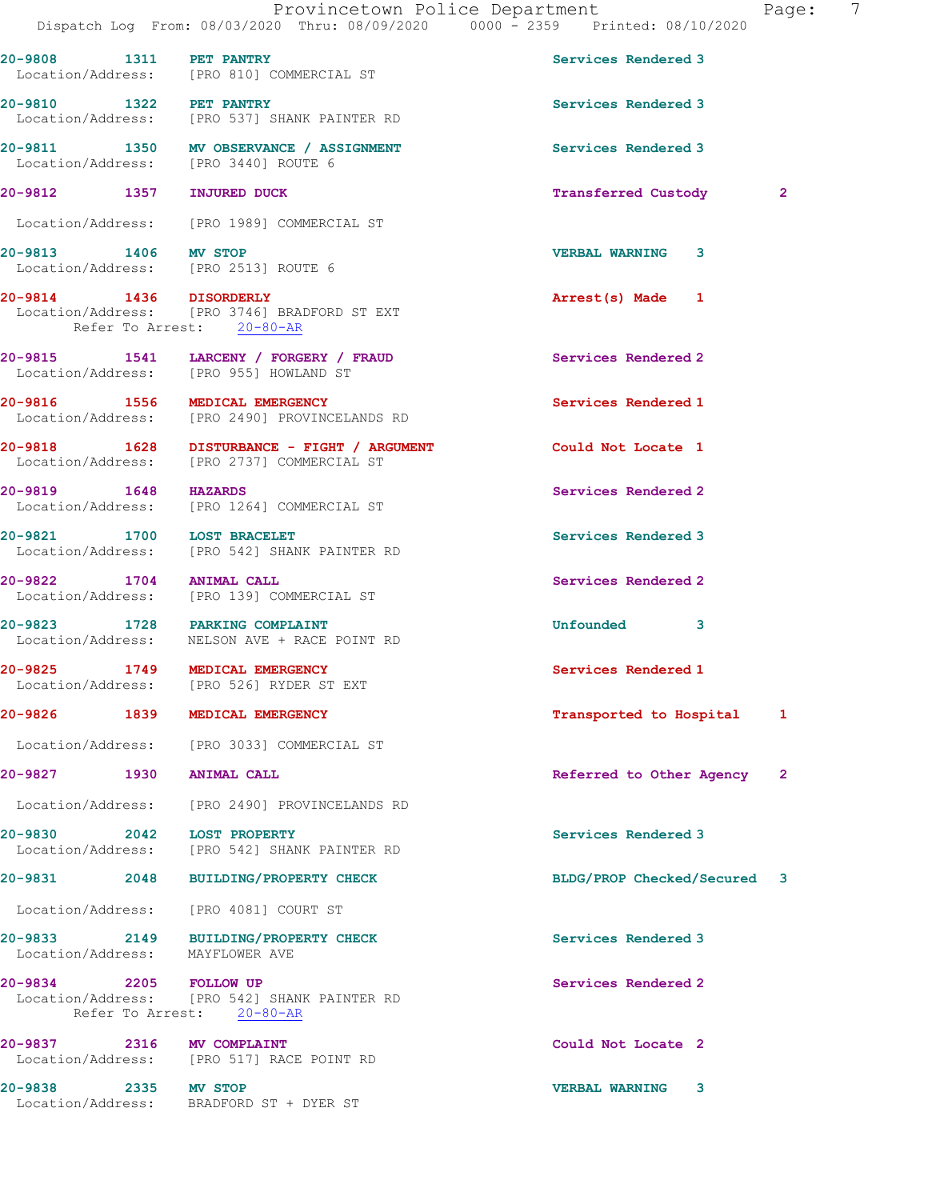|                                 | Provincetown Police Department<br>Dispatch Log From: 08/03/2020 Thru: 08/09/2020 0000 - 2359 Printed: 08/10/2020 |                             | $\overline{7}$<br>Page: |
|---------------------------------|------------------------------------------------------------------------------------------------------------------|-----------------------------|-------------------------|
| 20-9808 1311 PET PANTRY         | Location/Address: [PRO 810] COMMERCIAL ST                                                                        | Services Rendered 3         |                         |
| 20-9810 1322 PET PANTRY         | Location/Address: [PRO 537] SHANK PAINTER RD                                                                     | Services Rendered 3         |                         |
|                                 | 20-9811 1350 MV OBSERVANCE / ASSIGNMENT<br>Location/Address: [PRO 3440] ROUTE 6                                  | Services Rendered 3         |                         |
| 20-9812 1357 INJURED DUCK       |                                                                                                                  | <b>Transferred Custody</b>  | $\overline{2}$          |
|                                 | Location/Address: [PRO 1989] COMMERCIAL ST                                                                       |                             |                         |
| 20-9813 1406 MV STOP            | Location/Address: [PRO 2513] ROUTE 6                                                                             | <b>VERBAL WARNING 3</b>     |                         |
| 20-9814 1436 DISORDERLY         | Location/Address: [PRO 3746] BRADFORD ST EXT<br>Refer To Arrest: 20-80-AR                                        | Arrest(s) Made 1            |                         |
|                                 | 20-9815 1541 LARCENY / FORGERY / FRAUD<br>Location/Address: [PRO 955] HOWLAND ST                                 | Services Rendered 2         |                         |
|                                 | 20-9816 1556 MEDICAL EMERGENCY<br>Location/Address: [PRO 2490] PROVINCELANDS RD                                  | Services Rendered 1         |                         |
|                                 | 20-9818 1628 DISTURBANCE - FIGHT / ARGUMENT<br>Location/Address: [PRO 2737] COMMERCIAL ST                        | Could Not Locate 1          |                         |
|                                 | 20-9819 1648 HAZARDS<br>Location/Address: [PRO 1264] COMMERCIAL ST                                               | Services Rendered 2         |                         |
| 20-9821 1700 LOST BRACELET      | Location/Address: [PRO 542] SHANK PAINTER RD                                                                     | Services Rendered 3         |                         |
| 20-9822 1704 ANIMAL CALL        | Location/Address: [PRO 139] COMMERCIAL ST                                                                        | Services Rendered 2         |                         |
|                                 | 20-9823 1728 PARKING COMPLAINT<br>Location/Address: NELSON AVE + RACE POINT RD                                   | <b>Unfounded</b><br>3       |                         |
|                                 | 20-9825 1749 MEDICAL EMERGENCY<br>Location/Address: [PRO 526] RYDER ST EXT                                       | Services Rendered 1         |                         |
|                                 | 20-9826 1839 MEDICAL EMERGENCY                                                                                   | Transported to Hospital     | -1                      |
|                                 | Location/Address: [PRO 3033] COMMERCIAL ST                                                                       |                             |                         |
| 20-9827 1930 ANIMAL CALL        |                                                                                                                  | Referred to Other Agency 2  |                         |
|                                 | Location/Address: [PRO 2490] PROVINCELANDS RD                                                                    |                             |                         |
| 20-9830 2042 LOST PROPERTY      | Location/Address: [PRO 542] SHANK PAINTER RD                                                                     | Services Rendered 3         |                         |
|                                 | 20-9831 2048 BUILDING/PROPERTY CHECK                                                                             | BLDG/PROP Checked/Secured 3 |                         |
|                                 | Location/Address: [PRO 4081] COURT ST                                                                            |                             |                         |
| Location/Address: MAYFLOWER AVE | 20-9833 2149 BUILDING/PROPERTY CHECK                                                                             | Services Rendered 3         |                         |
| 20-9834 2205 FOLLOW UP          | Location/Address: [PRO 542] SHANK PAINTER RD<br>Refer To Arrest: 20-80-AR                                        | Services Rendered 2         |                         |
| 20-9837 2316 MV COMPLAINT       | Location/Address: [PRO 517] RACE POINT RD                                                                        | Could Not Locate 2          |                         |
| 20-9838 2335 MV STOP            | Location/Address: BRADFORD ST + DYER ST                                                                          | <b>VERBAL WARNING</b><br>3  |                         |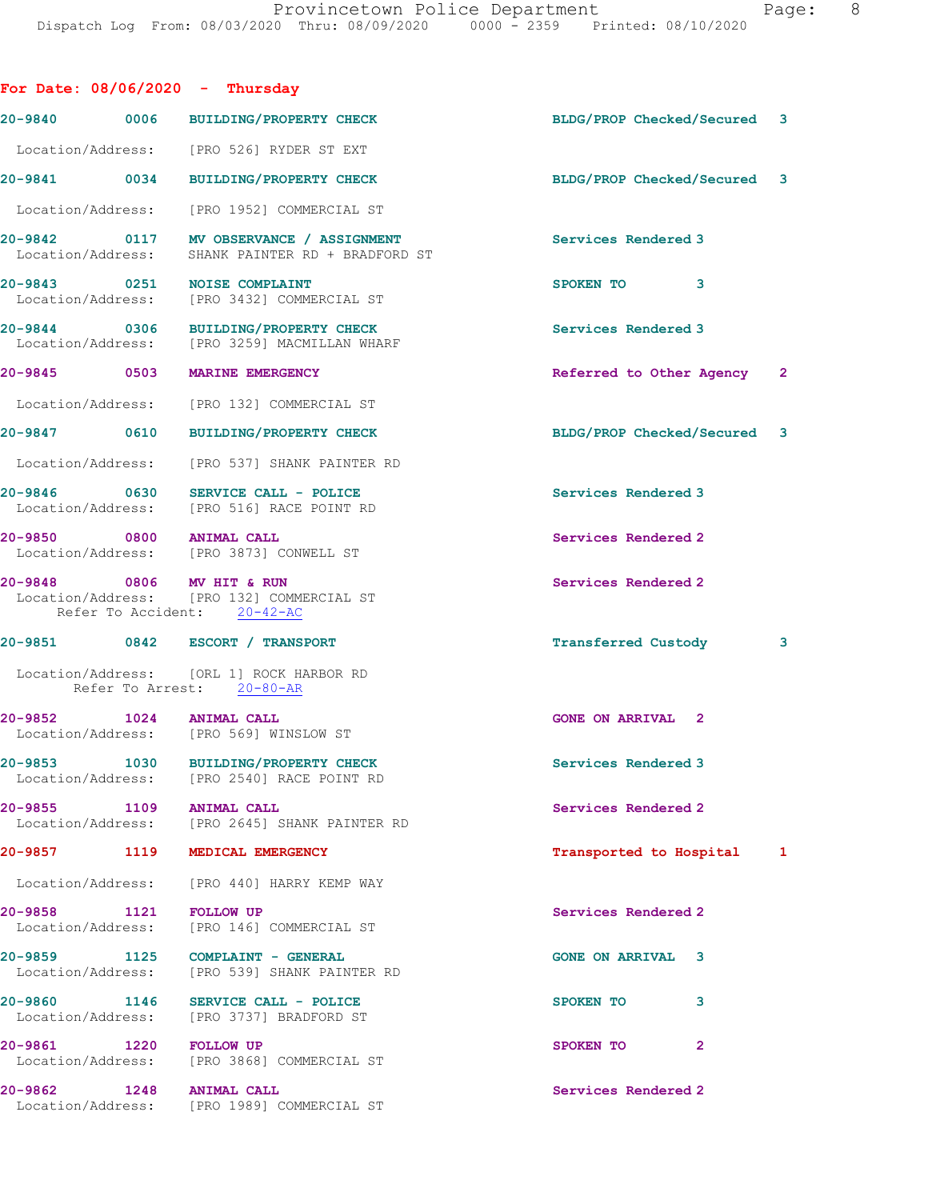| For Date: $08/06/2020 -$ Thursday                        |                                                                                             |                                 |  |
|----------------------------------------------------------|---------------------------------------------------------------------------------------------|---------------------------------|--|
|                                                          | 20-9840 0006 BUILDING/PROPERTY CHECK                                                        | BLDG/PROP Checked/Secured 3     |  |
|                                                          | Location/Address: [PRO 526] RYDER ST EXT                                                    |                                 |  |
|                                                          | 20-9841 0034 BUILDING/PROPERTY CHECK                                                        | BLDG/PROP Checked/Secured 3     |  |
|                                                          | Location/Address: [PRO 1952] COMMERCIAL ST                                                  |                                 |  |
|                                                          | 20-9842 0117 MV OBSERVANCE / ASSIGNMENT<br>Location/Address: SHANK PAINTER RD + BRADFORD ST | Services Rendered 3             |  |
| 20-9843 0251 NOISE COMPLAINT                             | Location/Address: [PRO 3432] COMMERCIAL ST                                                  | SPOKEN TO<br>3                  |  |
|                                                          | 20-9844 0306 BUILDING/PROPERTY CHECK<br>Location/Address: [PRO 3259] MACMILLAN WHARF        | Services Rendered 3             |  |
| 20-9845 0503 MARINE EMERGENCY                            |                                                                                             | Referred to Other Agency 2      |  |
|                                                          | Location/Address: [PRO 132] COMMERCIAL ST                                                   |                                 |  |
|                                                          | 20-9847 0610 BUILDING/PROPERTY CHECK                                                        | BLDG/PROP Checked/Secured 3     |  |
|                                                          | Location/Address: [PRO 537] SHANK PAINTER RD                                                |                                 |  |
|                                                          | 20-9846 0630 SERVICE CALL - POLICE<br>Location/Address: [PRO 516] RACE POINT RD             | Services Rendered 3             |  |
| 20-9850 0800 ANIMAL CALL                                 | Location/Address: [PRO 3873] CONWELL ST                                                     | Services Rendered 2             |  |
| 20-9848 0806 MV HIT & RUN<br>Refer To Accident: 20-42-AC | Location/Address: [PRO 132] COMMERCIAL ST                                                   | Services Rendered 2             |  |
|                                                          | 20-9851 0842 ESCORT / TRANSPORT                                                             | <b>Transferred Custody</b><br>3 |  |
|                                                          | Location/Address: [ORL 1] ROCK HARBOR RD<br>Refer To Arrest: 20-80-AR                       |                                 |  |
| 20-9852 1024 ANIMAL CALL                                 | Location/Address: [PRO 569] WINSLOW ST                                                      | <b>GONE ON ARRIVAL 2</b>        |  |
| 20-9853 1030                                             | BUILDING/PROPERTY CHECK<br>Location/Address: [PRO 2540] RACE POINT RD                       | Services Rendered 3             |  |
| 20-9855 1109                                             | <b>ANIMAL CALL</b><br>Location/Address: [PRO 2645] SHANK PAINTER RD                         | Services Rendered 2             |  |
| 20-9857 1119                                             | MEDICAL EMERGENCY                                                                           | Transported to Hospital 1       |  |
|                                                          | Location/Address: [PRO 440] HARRY KEMP WAY                                                  |                                 |  |
| 20-9858 1121                                             | <b>FOLLOW UP</b><br>Location/Address: [PRO 146] COMMERCIAL ST                               | Services Rendered 2             |  |
| 20-9859 1125                                             | COMPLAINT - GENERAL<br>Location/Address: [PRO 539] SHANK PAINTER RD                         | <b>GONE ON ARRIVAL 3</b>        |  |
| 20-9860 1146                                             | SERVICE CALL - POLICE<br>Location/Address: [PRO 3737] BRADFORD ST                           | 3<br>SPOKEN TO                  |  |
| 20-9861<br>1220 FOLLOW UP                                | Location/Address: [PRO 3868] COMMERCIAL ST                                                  | SPOKEN TO<br>$\overline{2}$     |  |
| 20-9862 1248<br>Location/Address:                        | <b>ANIMAL CALL</b><br>[PRO 1989] COMMERCIAL ST                                              | Services Rendered 2             |  |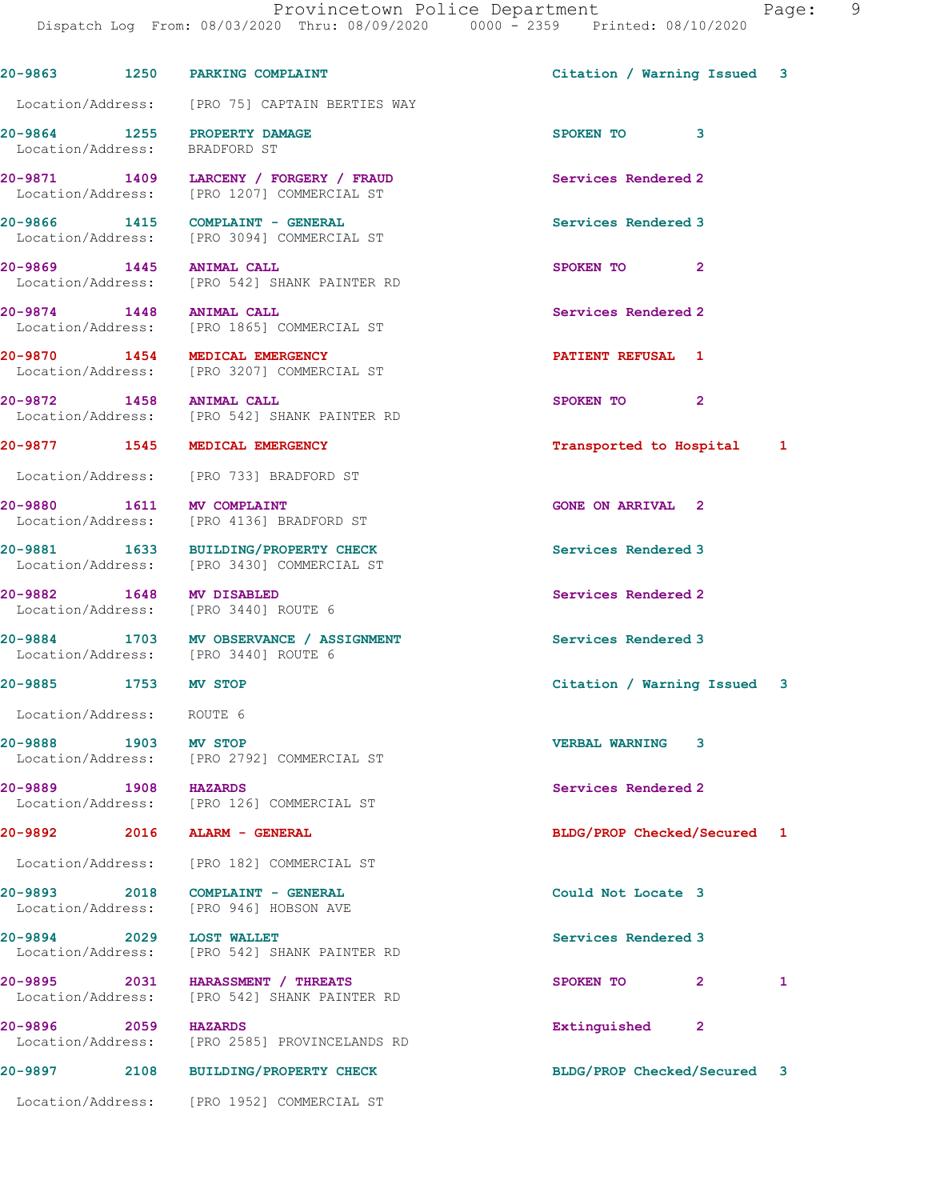| 20-9863 1250 PARKING COMPLAINT                                   |                                                                                      | Citation / Warning Issued 3    |   |
|------------------------------------------------------------------|--------------------------------------------------------------------------------------|--------------------------------|---|
|                                                                  | Location/Address: [PRO 75] CAPTAIN BERTIES WAY                                       |                                |   |
| 20-9864 1255 PROPERTY DAMAGE<br>Location/Address: BRADFORD ST    |                                                                                      | SPOKEN TO 3                    |   |
|                                                                  | 20-9871 1409 LARCENY / FORGERY / FRAUD<br>Location/Address: [PRO 1207] COMMERCIAL ST | Services Rendered 2            |   |
|                                                                  | 20-9866 1415 COMPLAINT - GENERAL<br>Location/Address: [PRO 3094] COMMERCIAL ST       | Services Rendered 3            |   |
| 20-9869 1445 ANIMAL CALL                                         | Location/Address: [PRO 542] SHANK PAINTER RD                                         | $\overline{2}$<br>SPOKEN TO    |   |
| 20-9874 1448 ANIMAL CALL                                         | Location/Address: [PRO 1865] COMMERCIAL ST                                           | Services Rendered 2            |   |
| 20-9870 1454 MEDICAL EMERGENCY                                   | Location/Address: [PRO 3207] COMMERCIAL ST                                           | PATIENT REFUSAL 1              |   |
| 20-9872 1458 ANIMAL CALL                                         | Location/Address: [PRO 542] SHANK PAINTER RD                                         | SPOKEN TO 2                    |   |
| 20-9877 1545 MEDICAL EMERGENCY                                   |                                                                                      | Transported to Hospital 1      |   |
|                                                                  | Location/Address: [PRO 733] BRADFORD ST                                              |                                |   |
|                                                                  | 20-9880 1611 MV COMPLAINT<br>Location/Address: [PRO 4136] BRADFORD ST                | <b>GONE ON ARRIVAL 2</b>       |   |
|                                                                  | 20-9881 1633 BUILDING/PROPERTY CHECK<br>Location/Address: [PRO 3430] COMMERCIAL ST   | Services Rendered 3            |   |
| 20-9882 1648 MV DISABLED<br>Location/Address: [PRO 3440] ROUTE 6 |                                                                                      | Services Rendered 2            |   |
| Location/Address: [PRO 3440] ROUTE 6                             | 20-9884 1703 MV OBSERVANCE / ASSIGNMENT                                              | Services Rendered 3            |   |
| 20-9885 1753 MV STOP                                             |                                                                                      | Citation / Warning Issued 3    |   |
| Location/Address: ROUTE 6                                        |                                                                                      |                                |   |
| 20-9888 1903 MV STOP                                             | Location/Address: [PRO 2792] COMMERCIAL ST                                           | <b>VERBAL WARNING</b><br>3     |   |
| 20-9889 1908 HAZARDS                                             | Location/Address: [PRO 126] COMMERCIAL ST                                            | Services Rendered 2            |   |
| 20-9892 2016 ALARM - GENERAL                                     |                                                                                      | BLDG/PROP Checked/Secured 1    |   |
|                                                                  | Location/Address: [PRO 182] COMMERCIAL ST                                            |                                |   |
| 20-9893 2018                                                     | COMPLAINT - GENERAL<br>Location/Address: [PRO 946] HOBSON AVE                        | Could Not Locate 3             |   |
| 20-9894 2029 LOST WALLET                                         | Location/Address: [PRO 542] SHANK PAINTER RD                                         | Services Rendered 3            |   |
|                                                                  | 20-9895 2031 HARASSMENT / THREATS<br>Location/Address: [PRO 542] SHANK PAINTER RD    | 2<br>SPOKEN TO                 | 1 |
| 20-9896 2059 HAZARDS                                             | Location/Address: [PRO 2585] PROVINCELANDS RD                                        | Extinguished<br>$\overline{2}$ |   |
| 20-9897 – 10<br>2108                                             | <b>BUILDING/PROPERTY CHECK</b>                                                       | BLDG/PROP Checked/Secured 3    |   |
|                                                                  | Location/Address: [PRO 1952] COMMERCIAL ST                                           |                                |   |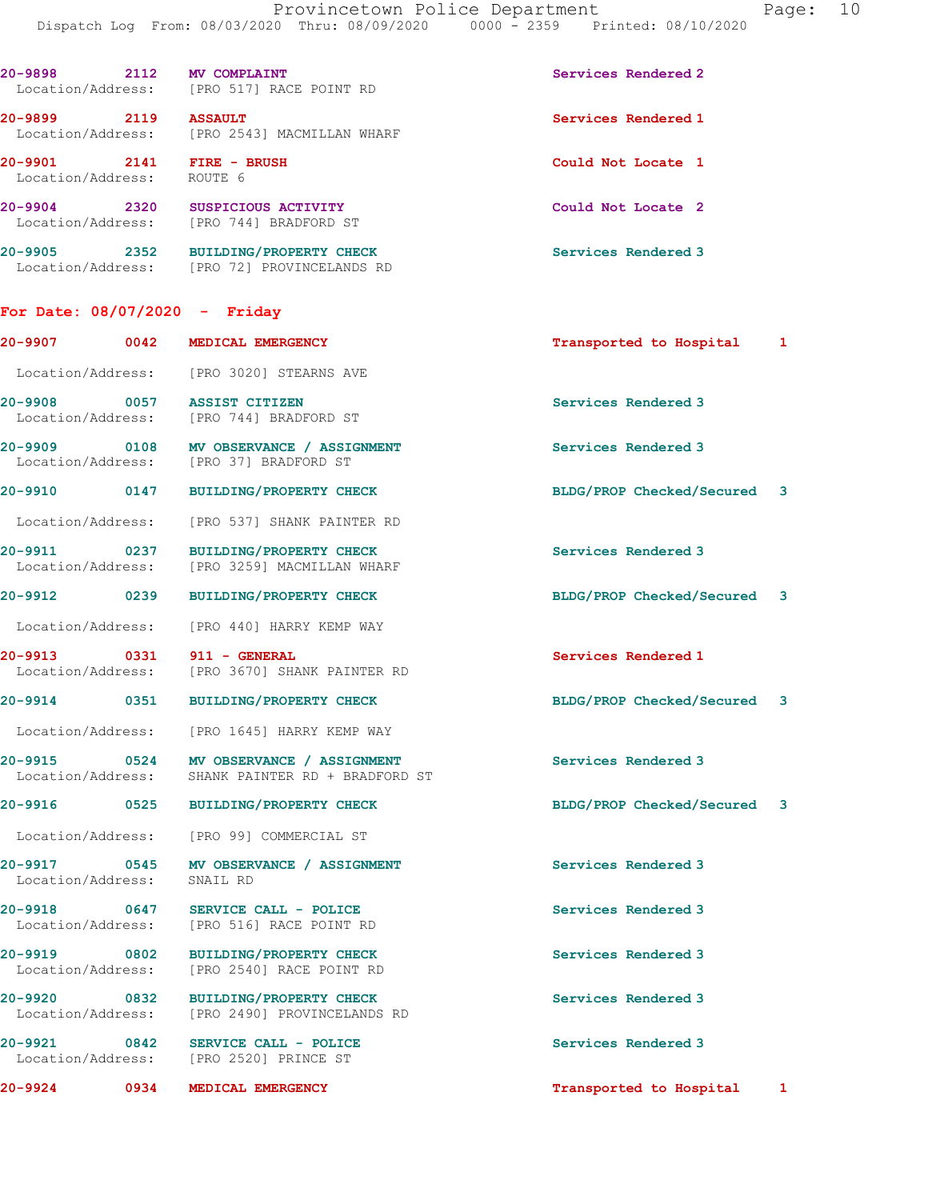| $20 - 9898$<br>2112<br>Location/Address: | MV COMPLAINT<br>[PRO 517] RACE POINT RD                     | Services Rendered 2 |
|------------------------------------------|-------------------------------------------------------------|---------------------|
| 20-9899<br>2119<br>Location/Address:     | <b>ASSAULT</b><br>[PRO 2543] MACMILLAN WHARF                | Services Rendered 1 |
| $20 - 9901$<br>2141<br>Location/Address: | FIRE - BRUSH<br>ROUTE 6                                     | Could Not Locate 1  |
| $20 - 9904$<br>2320<br>Location/Address: | SUSPICIOUS ACTIVITY<br>[PRO 744] BRADFORD ST                | Could Not Locate 2  |
| 2352<br>$20 - 9905$<br>Location/Address: | <b>BUILDING/PROPERTY CHECK</b><br>[PRO 72] PROVINCELANDS RD | Services Rendered 3 |

## For Date: 08/07/2020 - Friday

|                            |      | 20-9907 0042 MEDICAL EMERGENCY                                                              | Transported to Hospital 1   |  |
|----------------------------|------|---------------------------------------------------------------------------------------------|-----------------------------|--|
|                            |      | Location/Address: [PRO 3020] STEARNS AVE                                                    |                             |  |
|                            |      | 20-9908 0057 ASSIST CITIZEN<br>Location/Address: [PRO 744] BRADFORD ST                      | Services Rendered 3         |  |
|                            |      | 20-9909 0108 MV OBSERVANCE / ASSIGNMENT<br>Location/Address: [PRO 37] BRADFORD ST           | Services Rendered 3         |  |
|                            |      | 20-9910 0147 BUILDING/PROPERTY CHECK                                                        | BLDG/PROP Checked/Secured 3 |  |
|                            |      | Location/Address: [PRO 537] SHANK PAINTER RD                                                |                             |  |
|                            |      | 20-9911 0237 BUILDING/PROPERTY CHECK<br>Location/Address: [PRO 3259] MACMILLAN WHARF        | Services Rendered 3         |  |
|                            |      | 20-9912 0239 BUILDING/PROPERTY CHECK                                                        | BLDG/PROP Checked/Secured 3 |  |
|                            |      | Location/Address: [PRO 440] HARRY KEMP WAY                                                  |                             |  |
|                            |      | 20-9913 0331 911 - GENERAL<br>Location/Address: [PRO 3670] SHANK PAINTER RD                 | Services Rendered 1         |  |
|                            |      | 20-9914 0351 BUILDING/PROPERTY CHECK                                                        | BLDG/PROP Checked/Secured 3 |  |
|                            |      | Location/Address: [PRO 1645] HARRY KEMP WAY                                                 |                             |  |
|                            |      | 20-9915 0524 MV OBSERVANCE / ASSIGNMENT<br>Location/Address: SHANK PAINTER RD + BRADFORD ST | Services Rendered 3         |  |
|                            |      | 20-9916 0525 BUILDING/PROPERTY CHECK                                                        | BLDG/PROP Checked/Secured 3 |  |
|                            |      | Location/Address: [PRO 99] COMMERCIAL ST                                                    |                             |  |
| Location/Address: SNAIL RD |      | 20-9917 0545 MV OBSERVANCE / ASSIGNMENT                                                     | Services Rendered 3         |  |
|                            |      | 20-9918 0647 SERVICE CALL - POLICE<br>Location/Address: [PRO 516] RACE POINT RD             | Services Rendered 3         |  |
|                            |      | 20-9919 0802 BUILDING/PROPERTY CHECK<br>Location/Address: [PRO 2540] RACE POINT RD          | Services Rendered 3         |  |
| 20-9920                    | 0832 | <b>BUILDING/PROPERTY CHECK</b><br>Location/Address: [PRO 2490] PROVINCELANDS RD             | Services Rendered 3         |  |
|                            |      | 20-9921 0842 SERVICE CALL - POLICE<br>Location/Address: [PRO 2520] PRINCE ST                | Services Rendered 3         |  |
|                            |      | 20-9924 0934 MEDICAL EMERGENCY                                                              | Transported to Hospital 1   |  |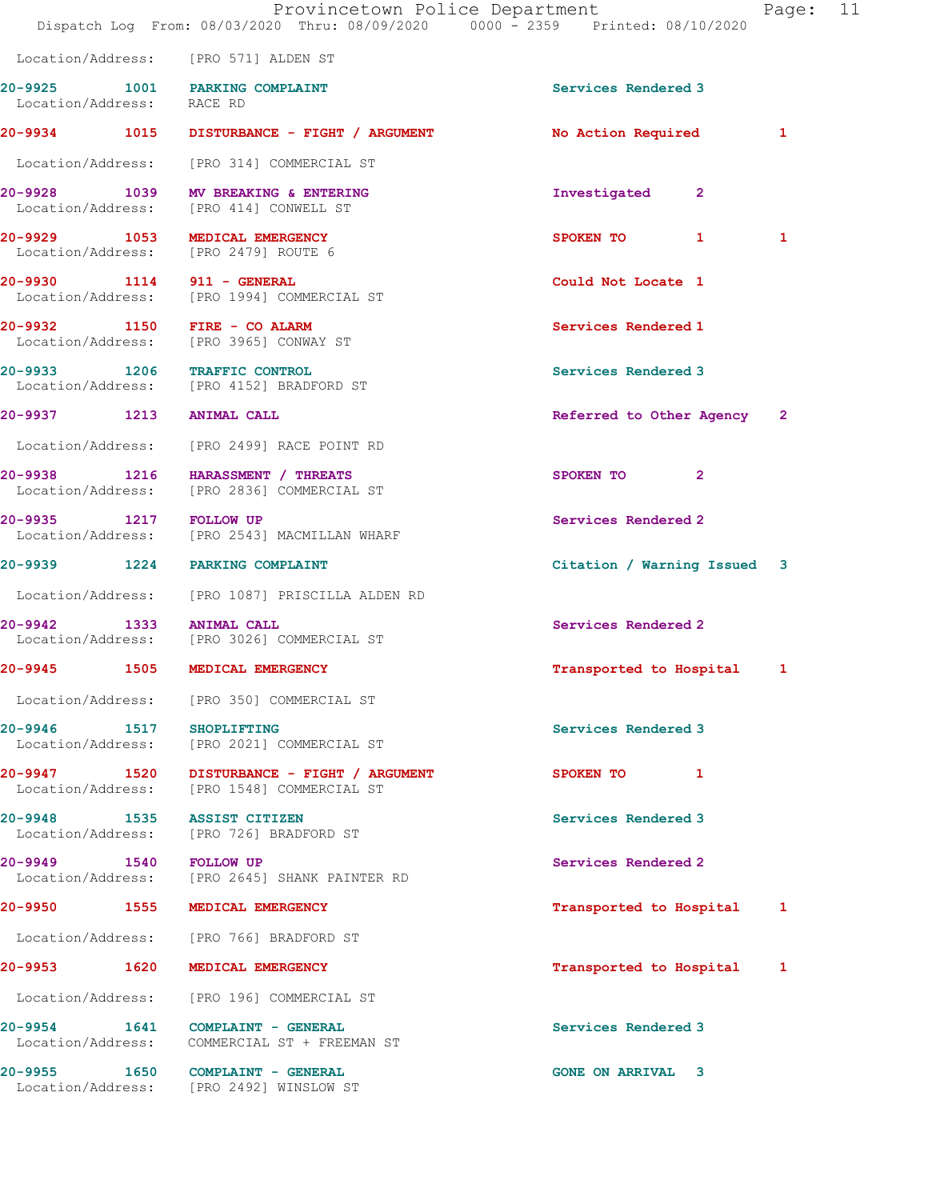Location/Address: [PRO 571] ALDEN ST 20-9925 1001 PARKING COMPLAINT Services Rendered 3 Location/Address: RACE RD 20-9934 1015 DISTURBANCE - FIGHT / ARGUMENT No Action Required 1 Location/Address: [PRO 314] COMMERCIAL ST 20-9928 1039 MV BREAKING & ENTERING Investigated 2 Location/Address: [PRO 414] CONWELL ST 20-9929 1053 MEDICAL EMERGENCY 1 SPOKEN TO 1 1 Location/Address: [PRO 2479] ROUTE 6 20-9930 1114 911 - GENERAL Could Not Locate 1 Location/Address: [PRO 1994] COMMERCIAL ST 20-9932 1150 FIRE - CO ALARM **Services Rendered 1**  Location/Address: [PRO 3965] CONWAY ST 20-9933 1206 TRAFFIC CONTROL Services Rendered 3 Location/Address: [PRO 4152] BRADFORD ST 20-9937 1213 ANIMAL CALL Referred to Other Agency 2 Location/Address: [PRO 2499] RACE POINT RD 20-9938 1216 HARASSMENT / THREATS SPOKEN TO 2 Location/Address: [PRO 2836] COMMERCIAL ST 20-9935 1217 FOLLOW UP Services Rendered 2 Location/Address: [PRO 2543] MACMILLAN WHARF 20-9939 1224 PARKING COMPLAINT Citation / Warning Issued 3 Location/Address: [PRO 1087] PRISCILLA ALDEN RD 20-9942 1333 ANIMAL CALL 20-9942 1333 ANIMAL CALL SERVICES Rendered 2 [PRO 3026] COMMERCIAL ST 20-9945 1505 MEDICAL EMERGENCY Transported to Hospital 1 Location/Address: [PRO 350] COMMERCIAL ST 20-9946 1517 SHOPLIFTING Services Rendered 3 Location/Address: [PRO 2021] COMMERCIAL ST 20-9947 1520 DISTURBANCE - FIGHT / ARGUMENT SPOKEN TO 1 Location/Address: [PRO 1548] COMMERCIAL ST 20-9948 1535 ASSIST CITIZEN **1996 120 Services Rendered** 3 Location/Address: [PRO 726] BRADFORD ST 20-9949 1540 FOLLOW UP 20-9949 Services Rendered 2<br>
Location/Address: [PRO 2645] SHANK PAINTER RD [PRO 2645] SHANK PAINTER RD 20-9950 1555 MEDICAL EMERGENCY **120-9950 120-9950** 1555 MEDICAL EMERGENCY Location/Address: [PRO 766] BRADFORD ST 20-9953 1620 MEDICAL EMERGENCY Transported to Hospital 1 Location/Address: [PRO 196] COMMERCIAL ST 20-9954 1641 COMPLAINT - GENERAL Services Rendered 3 Location/Address: COMMERCIAL ST + FREEMAN ST 20-9955 1650 COMPLAINT - GENERAL GONE ON ARRIVAL 3 Location/Address: [PRO 2492] WINSLOW ST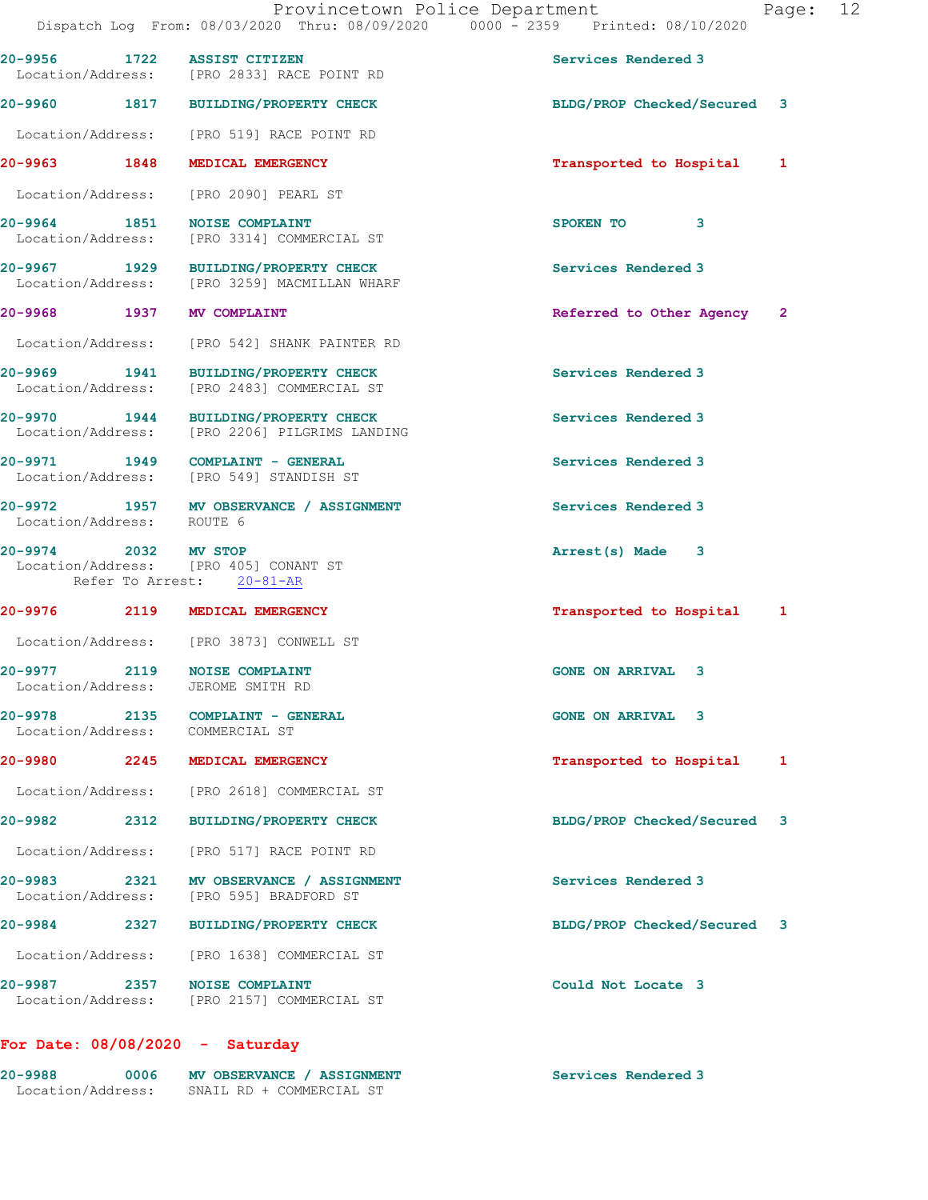|                                   |      | 20-9956 1722 ASSIST CITIZEN<br>Location/Address: [PRO 2833] RACE POINT RD             | Services Rendered 3         |   |
|-----------------------------------|------|---------------------------------------------------------------------------------------|-----------------------------|---|
|                                   |      | 20-9960 1817 BUILDING/PROPERTY CHECK                                                  | BLDG/PROP Checked/Secured 3 |   |
|                                   |      | Location/Address: [PRO 519] RACE POINT RD                                             |                             |   |
|                                   |      | 20-9963 1848 MEDICAL EMERGENCY                                                        | Transported to Hospital     | 1 |
|                                   |      | Location/Address: [PRO 2090] PEARL ST                                                 |                             |   |
| 20-9964 1851                      |      | <b>NOISE COMPLAINT</b><br>Location/Address: [PRO 3314] COMMERCIAL ST                  | SPOKEN TO 3                 |   |
|                                   |      | 20-9967 1929 BUILDING/PROPERTY CHECK<br>Location/Address: [PRO 3259] MACMILLAN WHARF  | Services Rendered 3         |   |
| 20-9968 1937 MV COMPLAINT         |      |                                                                                       | Referred to Other Agency 2  |   |
|                                   |      | Location/Address: [PRO 542] SHANK PAINTER RD                                          |                             |   |
|                                   |      | 20-9969 1941 BUILDING/PROPERTY CHECK<br>Location/Address: [PRO 2483] COMMERCIAL ST    | Services Rendered 3         |   |
|                                   |      | 20-9970 1944 BUILDING/PROPERTY CHECK<br>Location/Address: [PRO 2206] PILGRIMS LANDING | Services Rendered 3         |   |
|                                   |      | 20-9971 1949 COMPLAINT - GENERAL<br>Location/Address: [PRO 549] STANDISH ST           | Services Rendered 3         |   |
| Location/Address: ROUTE 6         |      | 20-9972 1957 MV OBSERVANCE / ASSIGNMENT                                               | Services Rendered 3         |   |
| 20-9974 2032 MV STOP              |      | Location/Address: [PRO 405] CONANT ST<br>Refer To Arrest: 20-81-AR                    | Arrest(s) Made 3            |   |
|                                   |      | 20-9976 2119 MEDICAL EMERGENCY                                                        | Transported to Hospital     | 1 |
|                                   |      | Location/Address: [PRO 3873] CONWELL ST                                               |                             |   |
|                                   |      | 20-9977 2119 NOISE COMPLAINT<br>Location/Address: JEROME SMITH RD                     | <b>GONE ON ARRIVAL 3</b>    |   |
| 20-9978<br>Location/Address:      |      | 2135 COMPLAINT - GENERAL<br>COMMERCIAL ST                                             | <b>GONE ON ARRIVAL 3</b>    |   |
| 20-9980                           | 2245 | MEDICAL EMERGENCY                                                                     | Transported to Hospital     | 1 |
|                                   |      | Location/Address: [PRO 2618] COMMERCIAL ST                                            |                             |   |
| 20-9982                           | 2312 | <b>BUILDING/PROPERTY CHECK</b>                                                        | BLDG/PROP Checked/Secured   | 3 |
| Location/Address:                 |      | [PRO 517] RACE POINT RD                                                               |                             |   |
| 20-9983 2001<br>Location/Address: | 2321 | MV OBSERVANCE / ASSIGNMENT<br>[PRO 595] BRADFORD ST                                   | Services Rendered 3         |   |
| 20-9984                           | 2327 | <b>BUILDING/PROPERTY CHECK</b>                                                        | BLDG/PROP Checked/Secured 3 |   |
| Location/Address:                 |      | [PRO 1638] COMMERCIAL ST                                                              |                             |   |
| 20-9987 2357<br>Location/Address: |      | <b>NOISE COMPLAINT</b><br>[PRO 2157] COMMERCIAL ST                                    | Could Not Locate 3          |   |
|                                   |      |                                                                                       |                             |   |

## For Date: 08/08/2020 - Saturday

| 20-9988           | 0006 | MV OBSERVANCE / ASSIGNMENT | Services Rendered 3 |
|-------------------|------|----------------------------|---------------------|
| Location/Address: |      | SNAIL RD + COMMERCIAL ST   |                     |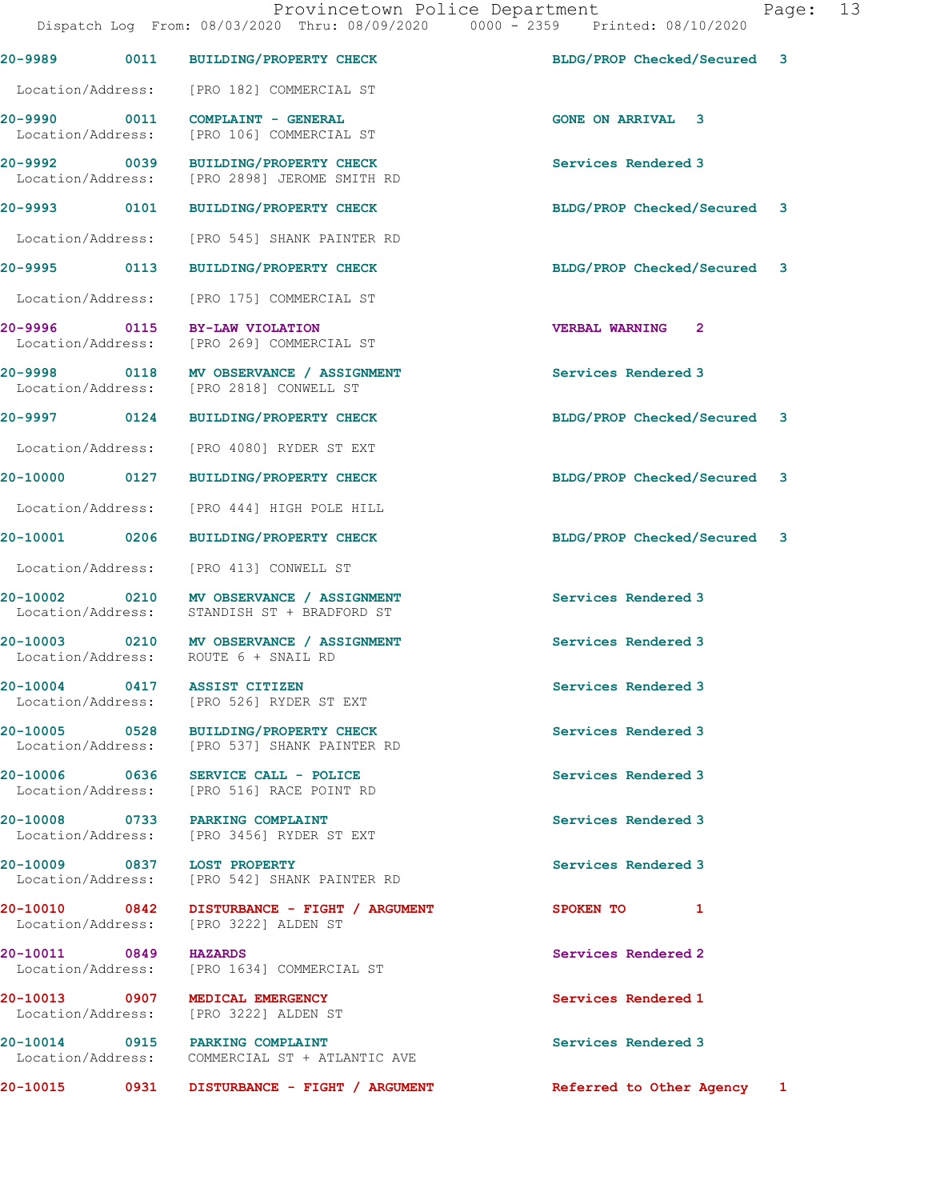|                                    |      | 20-9989 0011 BUILDING/PROPERTY CHECK                                             | BLDG/PROP Checked/Secured 3                          |  |
|------------------------------------|------|----------------------------------------------------------------------------------|------------------------------------------------------|--|
| Location/Address:                  |      | [PRO 182] COMMERCIAL ST                                                          |                                                      |  |
| 20-9990 0011<br>Location/Address:  |      | <b>COMPLAINT - GENERAL</b><br>[PRO 106] COMMERCIAL ST                            | <b>GONE ON ARRIVAL 3</b>                             |  |
| 20-9992 0039<br>Location/Address:  |      | <b>BUILDING/PROPERTY CHECK</b><br>[PRO 2898] JEROME SMITH RD                     | Services Rendered 3                                  |  |
| 20-9993 0101                       |      | <b>BUILDING/PROPERTY CHECK</b>                                                   | BLDG/PROP Checked/Secured<br>3                       |  |
| Location/Address:                  |      | [PRO 545] SHANK PAINTER RD                                                       |                                                      |  |
| 20-9995 0113                       |      | <b>BUILDING/PROPERTY CHECK</b>                                                   | BLDG/PROP Checked/Secured 3                          |  |
| Location/Address:                  |      | [PRO 175] COMMERCIAL ST                                                          |                                                      |  |
| 20-9996 0115<br>Location/Address:  |      | BY-LAW VIOLATION<br>[PRO 269] COMMERCIAL ST                                      | <b>VERBAL WARNING 2</b>                              |  |
| 20-9998 0118                       |      | MV OBSERVANCE / ASSIGNMENT<br>Location/Address: [PRO 2818] CONWELL ST            | Services Rendered 3                                  |  |
|                                    |      | 20-9997 0124 BUILDING/PROPERTY CHECK                                             | BLDG/PROP Checked/Secured<br>3                       |  |
| Location/Address:                  |      | [PRO 4080] RYDER ST EXT                                                          |                                                      |  |
| 20-10000 0127                      |      | <b>BUILDING/PROPERTY CHECK</b>                                                   | BLDG/PROP Checked/Secured 3                          |  |
| Location/Address:                  |      | [PRO 444] HIGH POLE HILL                                                         |                                                      |  |
| 20-10001 0206                      |      | <b>BUILDING/PROPERTY CHECK</b>                                                   | BLDG/PROP Checked/Secured<br>$\overline{\mathbf{3}}$ |  |
| Location/Address:                  |      | [PRO 413] CONWELL ST                                                             |                                                      |  |
| 20-10002 0210<br>Location/Address: |      | MV OBSERVANCE / ASSIGNMENT<br>STANDISH ST + BRADFORD ST                          | Services Rendered 3                                  |  |
|                                    |      | 20-10003 0210 MV OBSERVANCE / ASSIGNMENT<br>Location/Address: ROUTE 6 + SNAIL RD | Services Rendered 3                                  |  |
|                                    |      | 20-10004 0417 ASSIST CITIZEN<br>Location/Address: [PRO 526] RYDER ST EXT         | Services Rendered 3                                  |  |
| 20-10005 0528<br>Location/Address: |      | <b>BUILDING/PROPERTY CHECK</b><br>[PRO 537] SHANK PAINTER RD                     | Services Rendered 3                                  |  |
|                                    |      | 20-10006 0636 SERVICE CALL - POLICE<br>Location/Address: [PRO 516] RACE POINT RD | Services Rendered 3                                  |  |
| 20-10008 0733                      |      | <b>PARKING COMPLAINT</b><br>Location/Address: [PRO 3456] RYDER ST EXT            | Services Rendered 3                                  |  |
|                                    |      | 20-10009 0837 LOST PROPERTY<br>Location/Address: [PRO 542] SHANK PAINTER RD      | Services Rendered 3                                  |  |
| 20-10010 0842<br>Location/Address: |      | DISTURBANCE - FIGHT / ARGUMENT<br>[PRO 3222] ALDEN ST                            | <b>SPOKEN TO</b><br>1                                |  |
| 20-10011 0849                      |      | <b>HAZARDS</b><br>Location/Address: [PRO 1634] COMMERCIAL ST                     | Services Rendered 2                                  |  |
| Location/Address:                  |      | 20-10013 0907 MEDICAL EMERGENCY<br>[PRO 3222] ALDEN ST                           | Services Rendered 1                                  |  |
| Location/Address:                  |      | 20-10014 0915 PARKING COMPLAINT<br>COMMERCIAL ST + ATLANTIC AVE                  | Services Rendered 3                                  |  |
| 20-10015                           | 0931 | DISTURBANCE - FIGHT / ARGUMENT                                                   | Referred to Other Agency<br>1                        |  |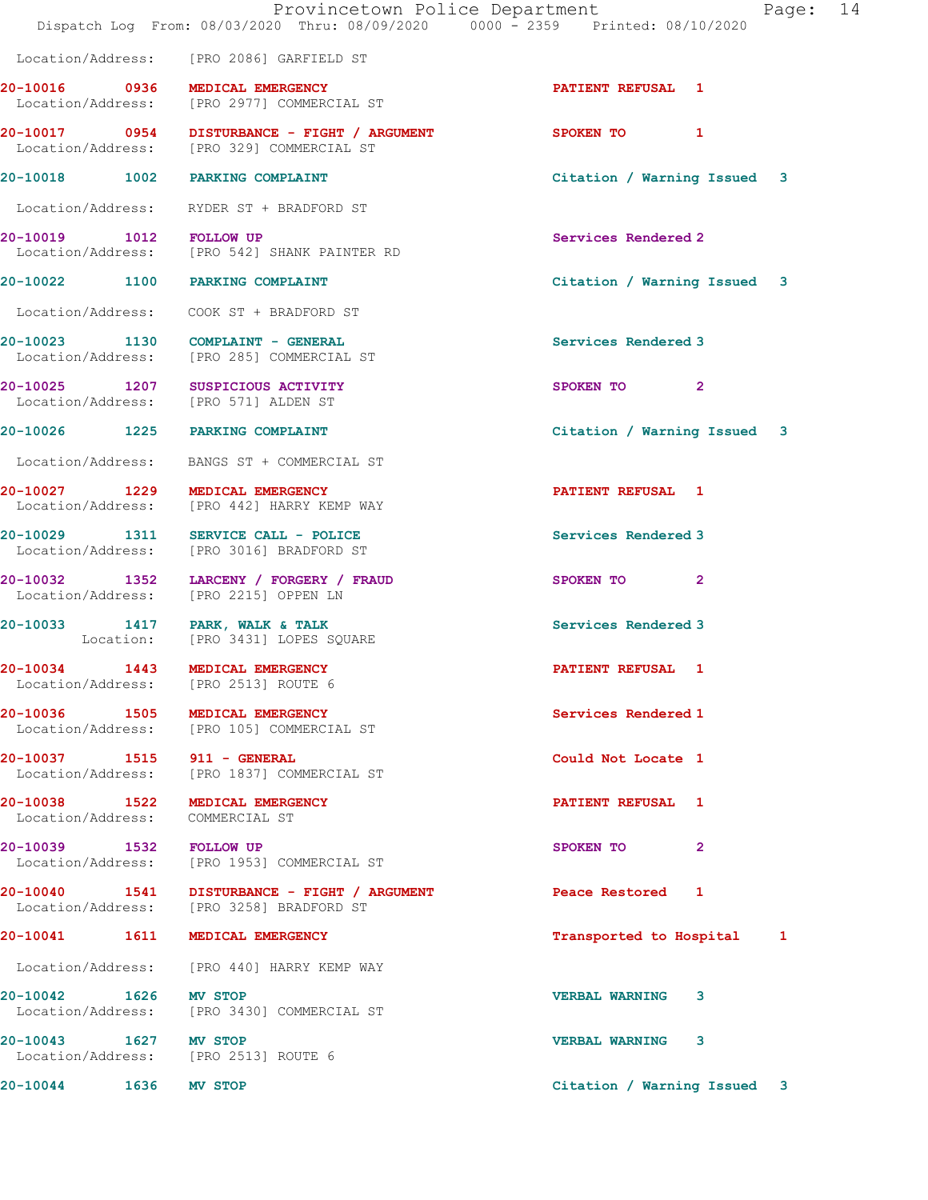|                                 | Dispatch Log From: 08/03/2020 Thru: 08/09/2020 0000 - 2359 Printed: 08/10/2020             | Provincetown Police Department<br>Page: 14 |
|---------------------------------|--------------------------------------------------------------------------------------------|--------------------------------------------|
|                                 | Location/Address: [PRO 2086] GARFIELD ST                                                   |                                            |
|                                 | 20-10016 0936 MEDICAL EMERGENCY<br>Location/Address: [PRO 2977] COMMERCIAL ST              | <b>PATIENT REFUSAL 1</b>                   |
|                                 | 20-10017 0954 DISTURBANCE - FIGHT / ARGUMENT<br>Location/Address: [PRO 329] COMMERCIAL ST  | SPOKEN TO 1                                |
|                                 | 20-10018 1002 PARKING COMPLAINT                                                            | Citation / Warning Issued 3                |
|                                 | Location/Address: RYDER ST + BRADFORD ST                                                   |                                            |
| 20-10019 1012 FOLLOW UP         | Location/Address: [PRO 542] SHANK PAINTER RD                                               | Services Rendered 2                        |
|                                 | 20-10022 1100 PARKING COMPLAINT                                                            | Citation / Warning Issued 3                |
|                                 |                                                                                            |                                            |
|                                 | 20-10023 1130 COMPLAINT - GENERAL<br>Location/Address: [PRO 285] COMMERCIAL ST             | Services Rendered 3                        |
|                                 | 20-10025 1207 SUSPICIOUS ACTIVITY<br>Location/Address: [PRO 571] ALDEN ST                  | SPOKEN TO 2                                |
|                                 | 20-10026 1225 PARKING COMPLAINT                                                            | Citation / Warning Issued 3                |
|                                 | Location/Address: BANGS ST + COMMERCIAL ST                                                 |                                            |
|                                 | 20-10027 1229 MEDICAL EMERGENCY<br>Location/Address: [PRO 442] HARRY KEMP WAY              | PATIENT REFUSAL 1                          |
|                                 | 20-10029 1311 SERVICE CALL - POLICE<br>Location/Address: [PRO 3016] BRADFORD ST            | Services Rendered 3                        |
|                                 | 20-10032 1352 LARCENY / FORGERY / FRAUD<br>Location/Address: [PRO 2215] OPPEN LN           | SPOKEN TO 2                                |
|                                 | 20-10033 1417 PARK, WALK & TALK<br>Location: [PRO 3431] LOPES SQUARE                       | Services Rendered 3                        |
|                                 | 20-10034 1443 MEDICAL EMERGENCY<br>Location/Address: [PRO 2513] ROUTE 6                    | <b>PATIENT REFUSAL 1</b>                   |
|                                 | 20-10036 1505 MEDICAL EMERGENCY<br>Location/Address: [PRO 105] COMMERCIAL ST               | Services Rendered 1                        |
| 20-10037 1515 911 - GENERAL     | Location/Address: [PRO 1837] COMMERCIAL ST                                                 | Could Not Locate 1                         |
| Location/Address: COMMERCIAL ST | 20-10038 1522 MEDICAL EMERGENCY                                                            | <b>PATIENT REFUSAL 1</b>                   |
|                                 | 20-10039 1532 FOLLOW UP<br>Location/Address: [PRO 1953] COMMERCIAL ST                      | SPOKEN TO<br>$\mathbf{2}$                  |
|                                 | 20-10040  1541  DISTURBANCE - FIGHT / ARGUMENT<br>Location/Address: [PRO 3258] BRADFORD ST | Peace Restored 1                           |
|                                 | 20-10041  1611 MEDICAL EMERGENCY                                                           | Transported to Hospital 1                  |
|                                 | Location/Address: [PRO 440] HARRY KEMP WAY                                                 |                                            |
| 20-10042 1626 MV STOP           | Location/Address: [PRO 3430] COMMERCIAL ST                                                 | <b>VERBAL WARNING 3</b>                    |
| 20-10043 1627 MV STOP           | Location/Address: [PRO 2513] ROUTE 6                                                       | <b>VERBAL WARNING 3</b>                    |
| 20-10044 1636 MV STOP           |                                                                                            | Citation / Warning Issued 3                |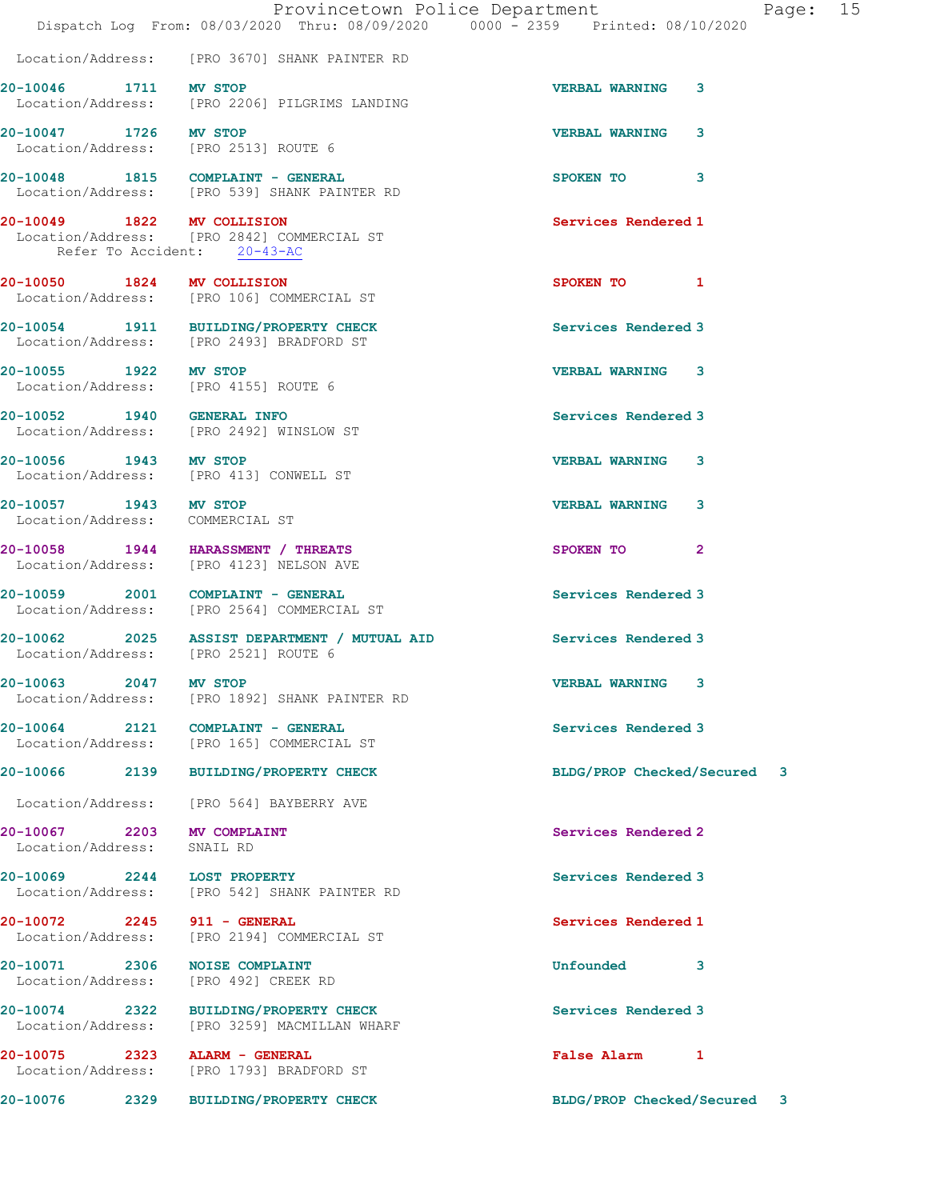|                                                          | Dispatch Log From: 08/03/2020 Thru: 08/09/2020 0000 - 2359 Printed: 08/10/2020                           | Provincetown Police Department | Page: 15 |
|----------------------------------------------------------|----------------------------------------------------------------------------------------------------------|--------------------------------|----------|
|                                                          | Location/Address: [PRO 3670] SHANK PAINTER RD                                                            |                                |          |
| 20-10046 1711 MV STOP                                    | Location/Address: [PRO 2206] PILGRIMS LANDING                                                            | <b>VERBAL WARNING</b><br>3     |          |
| 20-10047 1726 MV STOP                                    | Location/Address: [PRO 2513] ROUTE 6                                                                     | <b>VERBAL WARNING</b><br>3     |          |
|                                                          | 20-10048 1815 COMPLAINT - GENERAL<br>Location/Address: [PRO 539] SHANK PAINTER RD                        | SPOKEN TO 3                    |          |
| 20-10049 1822 MV COLLISION                               | Location/Address: [PRO 2842] COMMERCIAL ST<br>Refer To Accident: 20-43-AC                                | Services Rendered 1            |          |
| 20-10050 1824 MV COLLISION                               | Location/Address: [PRO 106] COMMERCIAL ST                                                                | SPOKEN TO 1                    |          |
|                                                          | 20-10054 1911 BUILDING/PROPERTY CHECK<br>Location/Address: [PRO 2493] BRADFORD ST                        | Services Rendered 3            |          |
| 20-10055 1922 MV STOP                                    | Location/Address: [PRO 4155] ROUTE 6                                                                     | <b>VERBAL WARNING 3</b>        |          |
| 20-10052 1940 GENERAL INFO                               | Location/Address: [PRO 2492] WINSLOW ST                                                                  | Services Rendered 3            |          |
|                                                          | 20-10056 1943 MV STOP<br>Location/Address: [PRO 413] CONWELL ST                                          | <b>VERBAL WARNING</b><br>3     |          |
| 20-10057 1943 MV STOP<br>Location/Address: COMMERCIAL ST |                                                                                                          | <b>VERBAL WARNING 3</b>        |          |
|                                                          | 20-10058 1944 HARASSMENT / THREATS<br>Location/Address: [PRO 4123] NELSON AVE                            | SPOKEN TO<br>$\mathbf{2}$      |          |
|                                                          | 20-10059 2001 COMPLAINT - GENERAL<br>Location/Address: [PRO 2564] COMMERCIAL ST                          | Services Rendered 3            |          |
|                                                          | 20-10062 2025 ASSIST DEPARTMENT / MUTUAL AID Services Rendered 3<br>Location/Address: [PRO 2521] ROUTE 6 |                                |          |
| 20-10063 2047 MV STOP                                    | Location/Address: [PRO 1892] SHANK PAINTER RD                                                            | <b>VERBAL WARNING 3</b>        |          |
|                                                          | 20-10064 2121 COMPLAINT - GENERAL<br>Location/Address: [PRO 165] COMMERCIAL ST                           | Services Rendered 3            |          |
|                                                          | 20-10066 2139 BUILDING/PROPERTY CHECK                                                                    | BLDG/PROP Checked/Secured 3    |          |
|                                                          | Location/Address: [PRO 564] BAYBERRY AVE                                                                 |                                |          |
| 20-10067 2203 MV COMPLAINT<br>Location/Address:          | SNAIL RD                                                                                                 | Services Rendered 2            |          |
| 20-10069 2244 LOST PROPERTY                              | Location/Address: [PRO 542] SHANK PAINTER RD                                                             | Services Rendered 3            |          |
| 20-10072 2245 911 - GENERAL                              | Location/Address: [PRO 2194] COMMERCIAL ST                                                               | Services Rendered 1            |          |
| 20-10071 2306<br>Location/Address:                       | <b>NOISE COMPLAINT</b><br>[PRO 492] CREEK RD                                                             | Unfounded<br>3                 |          |
|                                                          | 20-10074 2322 BUILDING/PROPERTY CHECK<br>Location/Address: [PRO 3259] MACMILLAN WHARF                    | Services Rendered 3            |          |
| 20-10075 2323<br>Location/Address:                       | ALARM - GENERAL<br>[PRO 1793] BRADFORD ST                                                                | False Alarm 1                  |          |
| 20-10076                                                 | 2329 BUILDING/PROPERTY CHECK                                                                             | BLDG/PROP Checked/Secured 3    |          |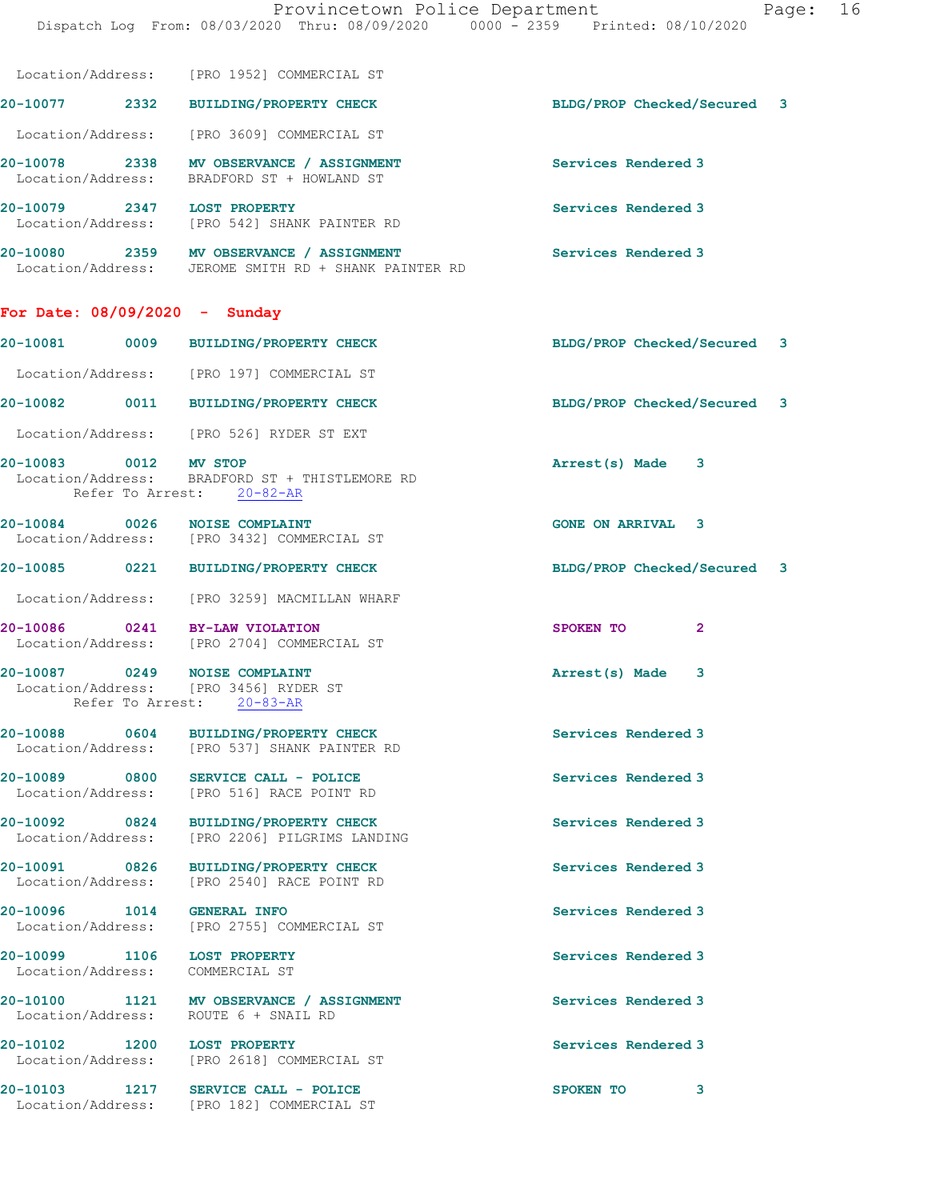|                                                                | Dispatch Log From: 08/03/2020 Thru: 08/09/2020 0000 - 2359 Printed: 08/10/2020                   |                                |  |
|----------------------------------------------------------------|--------------------------------------------------------------------------------------------------|--------------------------------|--|
|                                                                | Location/Address: [PRO 1952] COMMERCIAL ST                                                       |                                |  |
|                                                                | 20-10077 2332 BUILDING/PROPERTY CHECK                                                            | BLDG/PROP Checked/Secured 3    |  |
|                                                                | Location/Address: [PRO 3609] COMMERCIAL ST                                                       |                                |  |
|                                                                | 20-10078 2338 MV OBSERVANCE / ASSIGNMENT<br>Location/Address: BRADFORD ST + HOWLAND ST           | Services Rendered 3            |  |
| 20-10079 2347 LOST PROPERTY                                    | Location/Address: [PRO 542] SHANK PAINTER RD                                                     | Services Rendered 3            |  |
|                                                                | 20-10080 2359 MV OBSERVANCE / ASSIGNMENT<br>Location/Address: JEROME SMITH RD + SHANK PAINTER RD | Services Rendered 3            |  |
| For Date: $08/09/2020 -$ Sunday                                |                                                                                                  |                                |  |
|                                                                | 20-10081 0009 BUILDING/PROPERTY CHECK                                                            | BLDG/PROP Checked/Secured 3    |  |
|                                                                | Location/Address: [PRO 197] COMMERCIAL ST                                                        |                                |  |
|                                                                | 20-10082 0011 BUILDING/PROPERTY CHECK                                                            | BLDG/PROP Checked/Secured<br>3 |  |
|                                                                | Location/Address: [PRO 526] RYDER ST EXT                                                         |                                |  |
| 20-10083 0012 MV STOP                                          | Location/Address: BRADFORD ST + THISTLEMORE RD<br>Refer To Arrest: 20-82-AR                      | Arrest(s) Made 3               |  |
| 20-10084 0026 NOISE COMPLAINT                                  | Location/Address: [PRO 3432] COMMERCIAL ST                                                       | <b>GONE ON ARRIVAL 3</b>       |  |
|                                                                | 20-10085 0221 BUILDING/PROPERTY CHECK                                                            | BLDG/PROP Checked/Secured 3    |  |
|                                                                | Location/Address: [PRO 3259] MACMILLAN WHARF                                                     |                                |  |
| 20-10086 0241 BY-LAW VIOLATION                                 | Location/Address: [PRO 2704] COMMERCIAL ST                                                       | SPOKEN TO<br>$\mathbf{2}$      |  |
| 20-10087 0249 NOISE COMPLAINT<br>Refer To Arrest:              | Location/Address: [PRO 3456] RYDER ST<br>$20 - 83 - AR$                                          | Arrest(s) Made<br>3            |  |
| 20-10088 0604                                                  | <b>BUILDING/PROPERTY CHECK</b><br>Location/Address: [PRO 537] SHANK PAINTER RD                   | Services Rendered 3            |  |
| 20-10089 0800                                                  | SERVICE CALL - POLICE<br>Location/Address: [PRO 516] RACE POINT RD                               | Services Rendered 3            |  |
| Location/Address:                                              | 20-10092 0824 BUILDING/PROPERTY CHECK<br>[PRO 2206] PILGRIMS LANDING                             | Services Rendered 3            |  |
| 20-10091 0826<br>Location/Address:                             | <b>BUILDING/PROPERTY CHECK</b><br>[PRO 2540] RACE POINT RD                                       | Services Rendered 3            |  |
| 20-10096 1014 GENERAL INFO                                     | Location/Address: [PRO 2755] COMMERCIAL ST                                                       | Services Rendered 3            |  |
| 20-10099 1106 LOST PROPERTY<br>Location/Address: COMMERCIAL ST |                                                                                                  | Services Rendered 3            |  |
|                                                                | 20-10100 1121 MV OBSERVANCE / ASSIGNMENT<br>Location/Address: ROUTE 6 + SNAIL RD                 | Services Rendered 3            |  |

20-10102 1200 LOST PROPERTY **1200 CONTACT SERVICES Rendered 3** Location/Address: [PRO 2618] COMMERCIAL ST

20-10103 1217 SERVICE CALL - POLICE 20 SPOKEN TO 3 Location/Address: [PRO 182] COMMERCIAL ST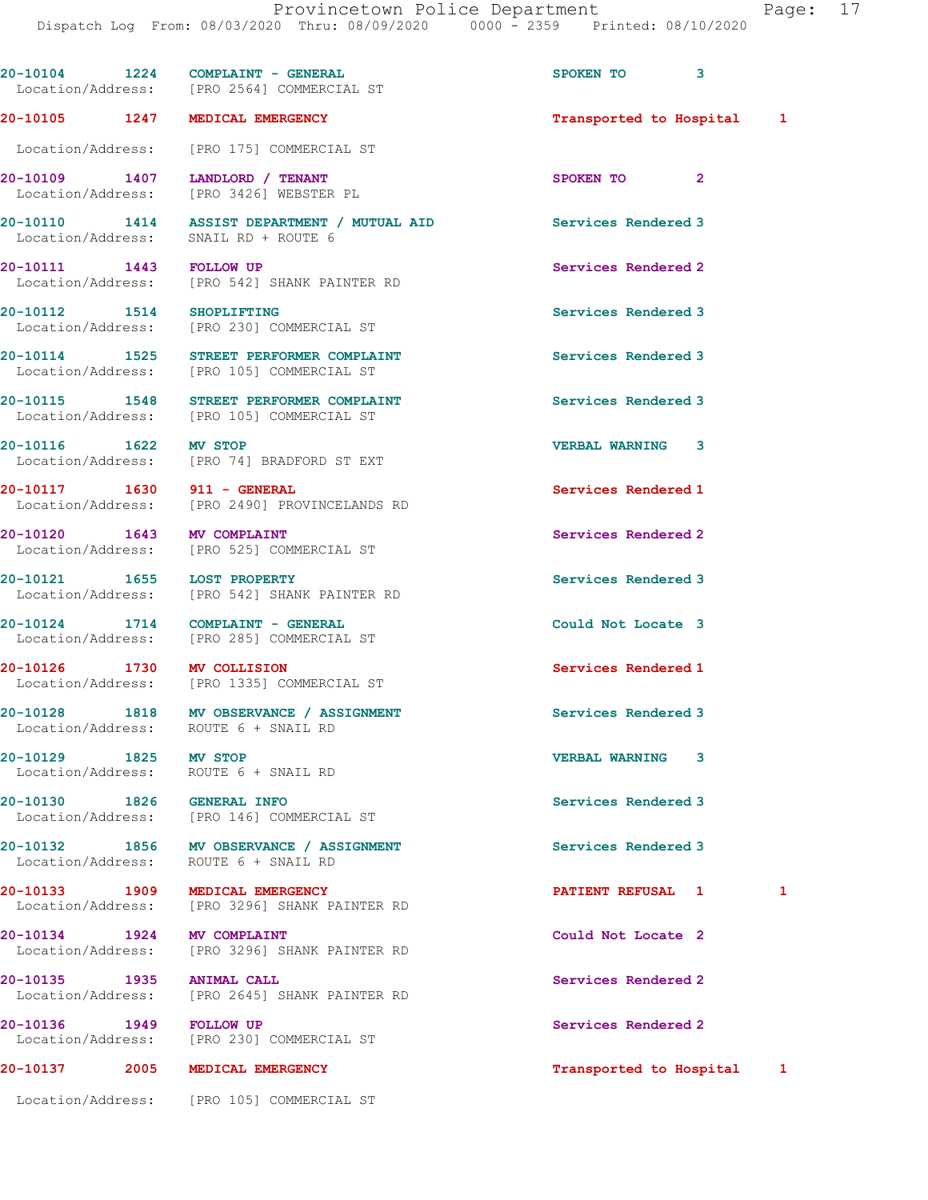|                            | $20-10104$ 1224 COMPLAINT - GENERAL<br>Location/Address: [PRO 2564] COMMERCIAL ST     | SPOKEN TO 3               |   |
|----------------------------|---------------------------------------------------------------------------------------|---------------------------|---|
| 20-10105 1247              | MEDICAL EMERGENCY                                                                     | Transported to Hospital 1 |   |
|                            | Location/Address: [PRO 175] COMMERCIAL ST                                             |                           |   |
| 20-10109 1407              | LANDLORD / TENANT<br>Location/Address: [PRO 3426] WEBSTER PL                          | SPOKEN TO 2               |   |
|                            | 20-10110 1414 ASSIST DEPARTMENT / MUTUAL AID<br>Location/Address: SNAIL RD + ROUTE 6  | Services Rendered 3       |   |
| 20-10111 1443 FOLLOW UP    | Location/Address: [PRO 542] SHANK PAINTER RD                                          | Services Rendered 2       |   |
| 20-10112 1514 SHOPLIFTING  | Location/Address: [PRO 230] COMMERCIAL ST                                             | Services Rendered 3       |   |
|                            | 20-10114 1525 STREET PERFORMER COMPLAINT<br>Location/Address: [PRO 105] COMMERCIAL ST | Services Rendered 3       |   |
|                            | 20-10115 1548 STREET PERFORMER COMPLAINT<br>Location/Address: [PRO 105] COMMERCIAL ST | Services Rendered 3       |   |
| 20-10116 1622              | MV STOP<br>Location/Address: [PRO 74] BRADFORD ST EXT                                 | <b>VERBAL WARNING 3</b>   |   |
|                            | 20-10117 1630 911 - GENERAL<br>Location/Address: [PRO 2490] PROVINCELANDS RD          | Services Rendered 1       |   |
| 20-10120 1643 MV COMPLAINT | Location/Address: [PRO 525] COMMERCIAL ST                                             | Services Rendered 2       |   |
|                            | 20-10121 1655 LOST PROPERTY<br>Location/Address: [PRO 542] SHANK PAINTER RD           | Services Rendered 3       |   |
|                            | 20-10124 1714 COMPLAINT - GENERAL<br>Location/Address: [PRO 285] COMMERCIAL ST        | Could Not Locate 3        |   |
| 20-10126 1730 MV COLLISION | Location/Address: [PRO 1335] COMMERCIAL ST                                            | Services Rendered 1       |   |
|                            | 20-10128 1818 MV OBSERVANCE / ASSIGNMENT<br>Location/Address: ROUTE 6 + SNAIL RD      | Services Rendered 3       |   |
| 20-10129 1825 MV STOP      | Location/Address: ROUTE 6 + SNAIL RD                                                  | <b>VERBAL WARNING 3</b>   |   |
| 20-10130 1826 GENERAL INFO | Location/Address: [PRO 146] COMMERCIAL ST                                             | Services Rendered 3       |   |
|                            | 20-10132 1856 MV OBSERVANCE / ASSIGNMENT<br>Location/Address: ROUTE 6 + SNAIL RD      | Services Rendered 3       |   |
|                            | 20-10133 1909 MEDICAL EMERGENCY<br>Location/Address: [PRO 3296] SHANK PAINTER RD      | PATIENT REFUSAL 1         | 1 |
|                            | 20-10134 1924 MV COMPLAINT<br>Location/Address: [PRO 3296] SHANK PAINTER RD           | Could Not Locate 2        |   |
| 20-10135 1935 ANIMAL CALL  | Location/Address: [PRO 2645] SHANK PAINTER RD                                         | Services Rendered 2       |   |
| 20-10136 1949 FOLLOW UP    | Location/Address: [PRO 230] COMMERCIAL ST                                             | Services Rendered 2       |   |
| 20-10137 2005              | MEDICAL EMERGENCY                                                                     | Transported to Hospital 1 |   |

Location/Address: [PRO 105] COMMERCIAL ST